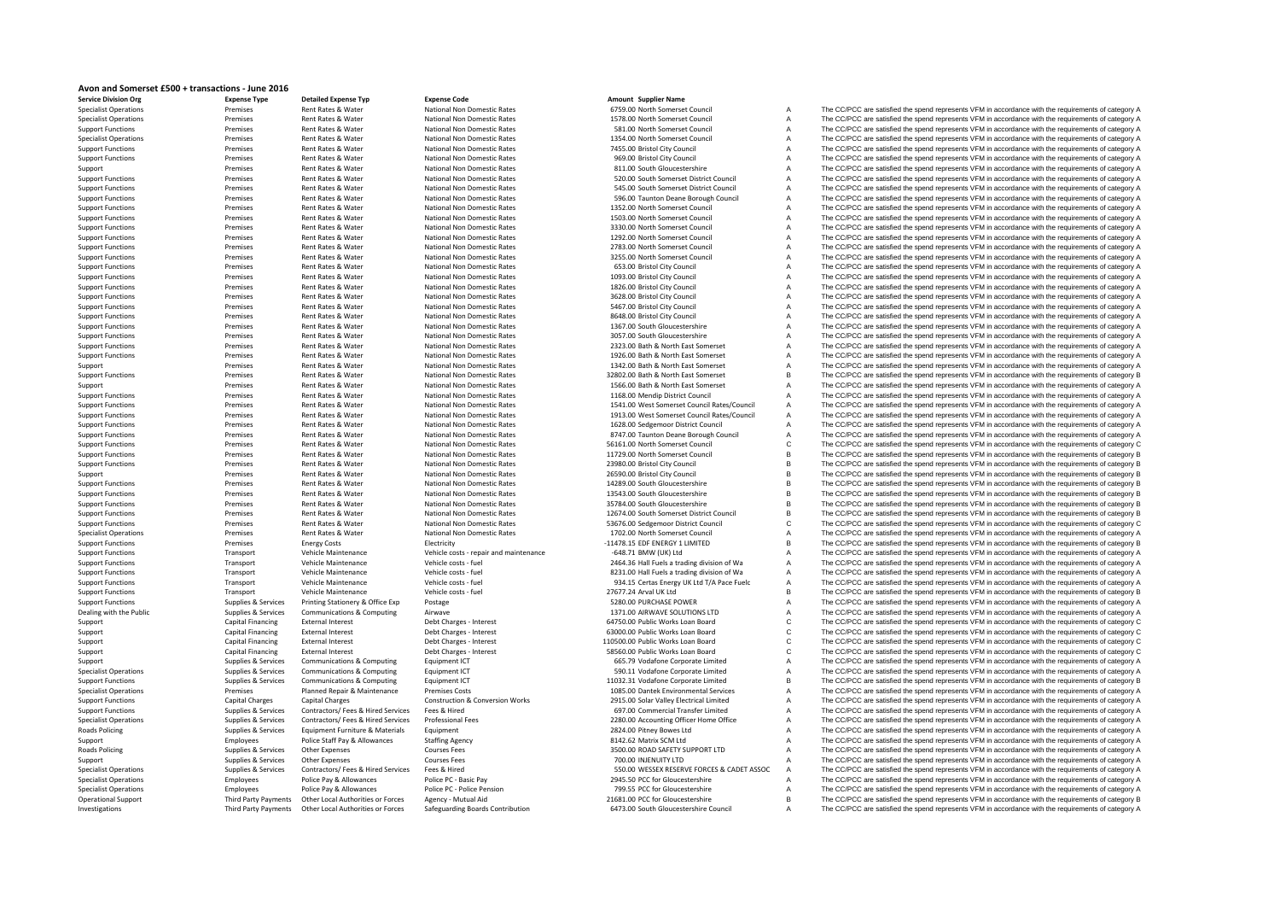## **Avon and Somerset £500 <sup>+</sup> transactions ‐ June 2016**

| <b>Service Division Org</b>  | <b>Expense Type</b>      |
|------------------------------|--------------------------|
| <b>Specialist Operations</b> | Premises                 |
| <b>Specialist Operations</b> | Premises                 |
| <b>Support Functions</b>     | Premises                 |
| <b>Specialist Operations</b> | Premises                 |
| <b>Support Functions</b>     | Premises                 |
| <b>Support Functions</b>     | Premises                 |
| Support                      | Premises                 |
| <b>Support Functions</b>     | Premises                 |
| <b>Support Functions</b>     | Premises                 |
| <b>Support Functions</b>     | Premises                 |
| <b>Support Functions</b>     | Premises                 |
| <b>Support Functions</b>     | Premises                 |
| <b>Support Functions</b>     | Premises                 |
| <b>Support Functions</b>     | Premises                 |
| <b>Support Functions</b>     | Premises                 |
| <b>Support Functions</b>     | Premises                 |
| <b>Support Functions</b>     | Premises                 |
| <b>Support Functions</b>     | Premises                 |
| <b>Support Functions</b>     | Premises                 |
| <b>Support Functions</b>     | Premises                 |
| <b>Support Functions</b>     | Premises                 |
| <b>Support Functions</b>     | Premises                 |
| <b>Support Functions</b>     | Premises                 |
| <b>Support Functions</b>     | Premises                 |
| <b>Support Functions</b>     | Premises                 |
|                              | Premises                 |
| <b>Support Functions</b>     |                          |
| Support                      | Premises                 |
| <b>Support Functions</b>     | Premises<br>Premises     |
| Support                      |                          |
| <b>Support Functions</b>     | Premises                 |
| <b>Support Functions</b>     | Premises                 |
| <b>Support Functions</b>     | Premises                 |
| <b>Support Functions</b>     | Premises                 |
| <b>Support Functions</b>     | Premises                 |
| <b>Support Functions</b>     | Premises                 |
| <b>Support Functions</b>     | Premises                 |
| <b>Support Functions</b>     | Premises                 |
| Support                      | Premises                 |
| <b>Support Functions</b>     | Premises                 |
| <b>Support Functions</b>     | Premises                 |
| <b>Support Functions</b>     | Premises                 |
| <b>Support Functions</b>     | Premises                 |
| <b>Support Functions</b>     | Premises                 |
| <b>Specialist Operations</b> | Premises                 |
| <b>Support Functions</b>     | Premises                 |
| <b>Support Functions</b>     | Transport                |
| <b>Support Functions</b>     | Transport                |
| <b>Support Functions</b>     | Transport                |
| <b>Support Functions</b>     | Transport                |
| <b>Support Functions</b>     | Transport                |
| <b>Support Functions</b>     | Supplies & Services      |
| Dealing with the Public      | Supplies & Services      |
| Support                      | <b>Capital Financing</b> |
| Support                      | Capital Financing        |
| Support                      | Capital Financing        |
| Support                      | <b>Capital Financing</b> |
| Support                      | Supplies & Services      |
| <b>Specialist Operations</b> | Supplies & Services      |
| <b>Support Functions</b>     | Supplies & Services      |
| <b>Specialist Operations</b> | Premises                 |
| <b>Support Functions</b>     | Capital Charges          |
| <b>Support Functions</b>     | Supplies & Services      |
|                              | Supplies & Services      |
| <b>Specialist Operations</b> |                          |
| <b>Roads Policing</b>        | Supplies & Services      |
| Support                      | Employees                |
| <b>Roads Policing</b>        | Supplies & Services      |
| Support                      | Supplies & Services      |
| <b>Specialist Operations</b> | Supplies & Services      |
| <b>Specialist Operations</b> | Employees                |
| <b>Specialist Operations</b> | Employees                |
| <b>Operational Support</b>   | Third Party Payment      |
| Investigations               | Third Party Payment      |

**Organized Expense Typeer 1998**<br> **Detailed** Expense **Code Business Code Business Code Amount Conserver Conserver Conserver Conserver Conserver Conserver Conserver Conserver Conserver Conserver Conserver Conserver C** 

Specialist Operations Premises Rent Rates and A The CC/PCC are satisfied the spend represents VFM in accordance with the requirements of category A Rent Rates & Water Mational Non Domestic Rates The States Are National Non Domestic Rates 1578.00 North Somerset Council A The CC/PCC are satisfied the spend represents VFM in accordance with the requirements of category A A The CC/PCC are satisfied the spend represents VFM in accordance with the requirements of category A Specialist Operations Premier Mational Non Domestic Rates and the Special Council Council A The CC/PCC are satisfied the spend represents VFM in accordance with the requirements of category A<br>Rent Rates 2016 National Non D Rent Rates Rent Rates National Non Domestic Rates 7455.00 Bristol City Council A The CC/PCC are satisfied the spend represents VFM in accordance with the requirements of category A Rent Rates & Water Mational Non Domestic Rates 969.00 Bristol City Council A The CC/PCC are satisfied the spend represents VFM in accordance with the requirements of category A Support Premises Artictional Non Domestic Rates and Support Rates and Support Premises Rent Rates A The CC/PCC are satisfied the spend represents VFM in accordance with the requirements of category A Support Rates 811.00 S Support The CC/PCC are satisfied the spend represents VFM in accordance with the requirements of category A Rent Rates & Water Mational Non Domestic Rates 545.00 South Somerset District Council A The CC/PCC are satisfied the spend represents VFM in accordance with the requirements of category A Rent Rates & Water Mational Non Domestic Rates Support The SOLO Taunton Deane Borough Council A The CC/PCC are satisfied the spend represents VFM in accordance with the requirements of category A<br>Rent Rates & Water Mationa Support Functions Premises Rent Rates Maternal Mational Non Domestic Rates 1352.00 North Somerset Council A The CC/PCC are satisfied the spend represents VFM in accordance with the requirements of category A<br>Rent Rates Mat SUPPORT FUNCTIONS PREMISES RENT RATES AND THE CC/PCC are satisfied the spend represents VFM in accordance with the requirements of category A<br>3330.00 North Somerset Council A The CC/PCC are satisfied the spend represents V Rent Rates Rent Rates Alstings Mational Non Domestic Rates 3330.00 North Somerset Council A The CC/PCC are satisfied the spend represents VFM in accordance with the requirements of category A Rent Rates & Water Mational Non Domestic Rates 1292.00 North Somerset Council A The CC/PCC are satisfied the spend represents VFM in accordance with the requirements of category A<br>Rent Rates National Non Domestic Rates 128 Rent Rates & Water Mational Non Domestic Rates 2783.00 North Somerset Council A The CC/PCC are satisfied the spend represents VFM in accordance with the requirements of category A<br>Rent Rates National Non Domestic Rates 275 A The CC/PCC are satisfied the spend represents VFM in accordance with the requirements of category A Support Functions Premises Articlear Mational Non Domestic Rates 653.00 Bristol City Council A The CC/PCC are satisfied the spend represents VFM in accordance with the requirements of category A<br>Rent Rates Mater National N The CC/PCC are satisfied the spend represents VFM in accordance with the requirements of category A Rent Rates & Water Mational Non Domestic Rates 1826.00 Bristol City Council A The CC/PCC are satisfied the spend represents VFM in accordance with the requirements of category A Rent Rates Busines National Non Domestic Rates 3628.00 Bristol City Council A The CC/PCC are satisfied the spend represents VFM in accordance with the requirements of category A Rent Rates & Water Mational Non Domestic Rates The Sections 1999 of the COMEN COMENT A The COMENT ART CONFOC are satisfied the spend represents VFM in accordance with the requirements of category A<br>Rent Rates & Water Natio National Non Domestic Rates 8648.00 Bristol City Council A The CC/PCC are satisfied the spend represents VFM in accordance with the requirements of category A<br>A The CC/PCC are satisfied the spend represents VFM in accordan Rent Rates & Water Mational Non Domestic Rates 1367.00 South Gloucestershire A The CC/PCC are satisfied the spend represents VFM in accordance with the requirements of category A Rent Rates Rent Rates National Non Domestic Rates 3057.00 South Gloucestershire A The CC/PCC are satisfied the spend represents VFM in accordance with the requirements of category A Support Functions Premises Articles Mational Non Domestic Rates 2323.00 Bath & North East Somerset A The CC/PCC are satisfied the spend represents VFM in accordance with the requirements of category A The Cripca are satisf Support Functions Premises Articlear Mational Non Domestic Rates and Support 1926.00 Bath & North East Somerset A The CC/PCC are satisfied the spend represents VFM in accordance with the requirements of category A Rent Rat The CC/PCC are satisfied the spend represents VFM in accordance with the requirements of category A Support Functions Premiers According to the Mational Non Domestic Rates 32802.00 Bath & North East Somerset B The CC/PCC are satisfied the spend represents VFM in accordance with the requirements of category B<br>Bent Bates & The CC/PCC are satisfied the spend represents VFM in accordance with the requirements of category A Rent Rates & Water Mational Non Domestic Rates 1168.00 Mendip District Council A The CC/PCC are satisfied the spend represents VFM in accordance with the requirements of category A Support Functions Premiers Articles Matter Mational Non Domestic Rates and Support Functions 2009 Mess Somerset Council Rates/Council A The CC/PCC are satisfied the spend represents VFM in accordance with the requirements Support Rates & Water National Non Domestic Rates and Category A 1913.00 West Somerset Council A The CC/PCC are satisfied the spend represents VFM in accordance with the requirements of category A Rent Rates & Water Mational Non Domestic Rates Mational Non Domestic Rates and States and the Council A The CC/PCC are satisfied the spend represents VFM in accordance with the requirements of category A<br>Rent Rates & Water Rent Rates & Water Mational Non Domestic Rates and States and The CO/PCC are satisfied the spend represents VFM in accordance with the requirements of category A<br>Rent Rates & Water Mational Non Domestic Rates 56161.00 Nort The CC/PCC are satisfied the spend represents VFM in accordance with the requirements of category C Rent Rates & Water Mational Non Domestic Rates 11729.00 North Somerset Council B The CC/PCC are satisfied the spend represents VFM in accordance with the requirements of category B<br>Rent Rates National Non Domestic Rates 23 Rent Rates & Water Mational Non Domestic Rates 23980.00 Bristol City Council 2008 City Council B The CC/PCC are satisfied the spend represents VFM in accordance with the requirements of category B Rent Rates & Water Mational Non Domestic Rates 26590.00 Bristol City Council B The CC/PCC are satisfied the spend represents VFM in accordance with the requirements of category B Rent Rates Rent Rates National Non Domestic Rates 14289.00 South Gloucestershire B The CC/PCC are satisfied the spend represents VFM in accordance with the requirements of category B Rent Rates & Water Mational Non Domestic Rates 13543.00 South Gloucestershire B The CC/PCC are satisfied the spend represents VFM in accordance with the requirements of category B Rent Rates & Water Mational Non Domestic Rates 35784.00 South Gloucestershire B The CC/PCC are satisfied the spend represents VFM in accordance with the requirements of category B<br>Rent Rates & Water National Non Domestic R Rent Rates & Water National Non Domestic Rates 12674.00 South Somerset District Council B The CC/PCC are satisfied the spend represents VFM in accordance with the requirements of category B Rent Rates & Water Mational Non Domestic Rates 53676.00 Sedgemoor District Council C The CC/PCC are satisfied the spend represents VFM in accordance with the requirements of category C Rent Rates & Water Mational Non Domestic Rates 1702.00 North Somerset Council A The CC/PCC are satisfied the spend represents VFM in accordance with the requirements of category A Support Functions Premises Electricity energy Costs repair and maintenance and the 11478.15 EDF ENERGY 1 LIMITED COMENTY The CC/PCC are satisfied the spend represents VFM in accordance with the requirements of category B c The CC/PCC are satisfied the spend represents VFM in accordance with the requirements of category A Support Functions Transport Transport Vehicle Costs - fuel 2464.36 Hall Fuels a trading division of Wa The CC/PCC are satisfied the spend represents VFM in accordance with the requirements of category A Vehicle costs - fue Support Functions Transport Transport Vehicle Costs - fuel May are a support Vehicle Costs Fuel 8231.00 Hall Fuels a trading division of Wa The CC/PCC are satisfied the spend represents VFM in accordance with the requireme The CC/PCC are satisfied the spend represents VFM in accordance with the requirements of category A Vehicle Maintenance Vehicle costs ‐ fuel vehicle costs • fuel 27677.24 Arval UK Ltd B The CC/PCC are satisfied the spend represents VFM in accordance with the requirements of category B Printing Stationery & Office Exp Postage export Functions Supplies CONCENTING STATION STATION CONCENTING STATION CONCENTING CONCENTING THE CC/PCC are satisfied the spend represents VFM in accordance with the requirements o Communications & Computing Airwave Airwave Computers Computers Computers Computing Airwave 1371.00 AIRWAVE SOLUTIONS LTD A The CC/PCC are satisfied the spend represents VFM in accordance with the requirements of category C The CC/PCC are satisfied the spend represents VFM in accordance with the requirements of category C External Interest Debt Charges - Interest Capital Financing External Interest C The CC/PCC are satisfied the spend represents VFM in accordance with the requirements of category C External Interest Debt Charges - Interest 110500.00 Public Works Loan Board C The CC/PCC are satisfied the spend represents VFM in accordance with the requirements of category C External Interest This conclude the Capital Financial Capital Financial Companies Companies Companies Companies Companies of category C The CC/PCC are satisfied the spend represents VFM in accordance with the requirements Equipment ICT **Examples A SERVICES A COMPUTER COMPUTER** A The CC/PCC are satisfied the spend represents VFM in accordance with the requirements of category A Specialistic Operations Supplies and Computing Supplies a Service Computing Computing Computing Specialist Computing Supplies a The CC/PCC are satisfied the spend represents VFM in accordance with the requirements of categ Communications & Computing Equipment ICT Computer Communications Computer Computing Communications and Equipment Category B The CC/PCC are satisfied the spend represents VFM in accordance with the requirements of category Premises Costs **Marine Repair Accord Repair Accord Repair A** The CC/PCC are satisfied the spend represents VFM in accordance with the requirements of category A Support Functions Construction & Conversion Works Capital Charges Construction & Conversion Works 2915.00 Solar Valley Electrical Limited A The CC/PCC are satisfied the spend represents VFM in accordance with the requireme Support Functions Support Functions Supplies A Contractors/ Fees & Hired Services Fees & Hired 697.00 Commercial Transfer Limited A The CC/PCC are satisfied the spend represents VFM in accordance with the requirements of c The CC/PCC are satisfied the spend represents VFM in accordance with the requirements of category A Policing Supplies Equipment Furniture & Materials Equipment Furniture and the COLO Pitney Bowes Ltd A The CC/PCC are satisfied the spend represents VFM in accordance with the requirements of category A Police State And The Staffing Agency 8142.62 Matrix SCM Ltd A The CC/PCC are satisfied the spend represents VFM in accordance with the requirements of category A The CC/PCC are satisfied the spend represents VFM in accordance with the requirem Policing Supplies a Services Courses Fees 3500.00 ROAD SAFETY SUPPORT LTD A The CC/PCC are satisfied the spend represents VFM in accordance with the requirements of category A The C.PCC are satisfied the spend represents V Ourses Fees Courses Courses Courses Courses Courses Courses Courses Courses Courses Courses Courses Courses Courses Courses COURITY LTD A The CC/PCC are satisfied the spend represents VFM in accordance with the requirement Contractors/Fees & Hired Services Fees & Hired Persical Press (ADET ASSOC ACCORDED SERVE FORCES & CADET ASSOC A<br>Police Pay & Allowances Police PC - Basic Pay 2015 Service 2014 2015 EQUITY 2015 EQUITY PRISPERS ARE CONNOC AR The CC/PCC are satisfied the spend represents VFM in accordance with the requirements of category A Police Pay & Allowances Police PC ‐ Police Pension 2019.55 PCC for Gloucestershire A The CC/PCC are satisfied the spend represents VFM in accordance with the requirements of category A 11631.00 EC The CC/PCC are satisfied the spend represents VFM in accordance with the requirements of category B (south Gloucesters Agency Market 21681.00 PCC for Gloucestershire Council B The CC/PCC are satisfied the spend A The CC/PCC are satisfied the spend represents VFM in accordance with the requirements of category A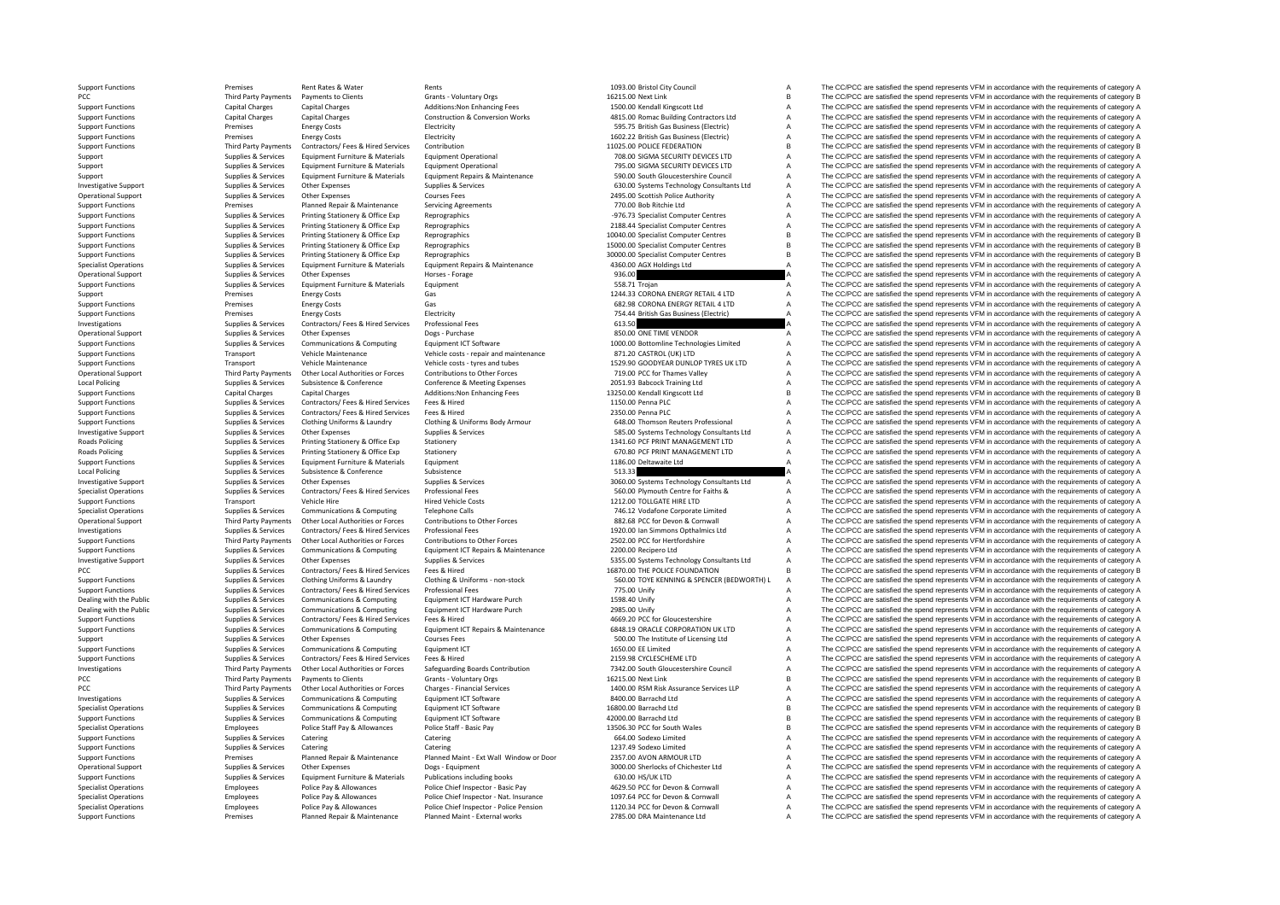PCC Third Party Payments Local Policing **Roads Policing Roads Policing** Local Policing PCC Third Party Payments PCC Third Party Payments

Support Functions Premises Rent Rates & Water Rents Rents Rents Rents 1093.00 Bristol City Council A The CC/PCC are satisfied the spend represents VFM in accordance with the requirements of category A Payments to Clients Grants - Voluntary Orgs 16215.00 Next Link B The CC/PCC are satisfied the spend represents VFM in accordance with the requirements of category B 15015.00 Next Link Schements of category B The CC/PCC are Support Functions Capital Charges Capital Charges Additions:Non Enhancing Fees 1500.00 Kendall Kingscott Ltd A The CC/PCC are satisfied the spend represents VFM in accordance with the requirements of category A Support Functions Capital Charges Capital Charges Construction & Conversion Works 4815.00 Romac Building Contractors Ltd A The CC/PCC are satisfied the spend represents VFM in accordance with the requirements of category A SUPS Functions Premises Energy Costs Clear Functions Electricity Support Functions Clear Control of the Support Functions Clear Functions Premises Energy Costs Energy Costs Electricity Functions Electricity Support of the Support Functions Premises Energy Costs Electricity Electricity Electricity Electricity 1602.22 British Gas Business (Electricity A The CC/PCC are satisfied the spend represents VFM in accordance with the requirements of c Support Functions Third Party Payments Contractors/ Fees & Hired Services Contractors/ Fees & Hired Services Contractors/ Fees and the spend represents VFM in accordance with the requirements of category B The COPC are sat Support Supplies & Services Equipment Furniture & Materials Equipment Operational 708.00 SIGMA SECURITY DEVICES LTD A The CC/PCC are satisfied the spend represents VFM in accordance with the requirements of category A<br>Supp Supplies & Services Equipment Furniture & Materials Equipment Operational 795.00 SIGMA SECURITY DEVICES LTD A The CC/PCC are satisfied the spend represents VFM in accordance with the requirements of category A Support Supp Supplet Supplet Supplet Services Equipment Funiture & Materials Equipment Repairs & Maintenance 590.00 South Gloucestershire Council A The CC/PCC are satisfied the spend represents VFM in accordance with the requirements o Investigative Support Supplies & Services Other Expenses Supplies & Services Supplies & Services Supplies & Services 6495.00 Systems Technology Consultants Ltd A The CC/PCC are satisfied the spend represents VFM in accorda Operational Support Supplies & Services Other Expenses Courses Fees Courses Fees 2495.00 Scottish Police Authority A The CC/PCC are satisfied the spend represents VFM in accordance with the requirements of category A Suppo Support Functions Premises Planned Repair & Maintenance Servicing Agreements 770.00 Bob Ritchie Ltd A The CC/PCC are satisfied the spend represents VFM in accordance with the requirements of category A Support Functions Su The CC/PCC are satisfied the spend represents VFM in accordance with the requirements of category A Support Functions Supplies & Services Printing Stationery & Office Exp Reprographics 2188.44 Specialist Computer Centres A The CC/PCC are satisfied the spend represents VFM in accordance with the requirements of category A Support Functions Supplies & Services Printing Stationery & Office Exp Reprographics Reprographics 10040.00 Specialist Computer Centres B The CC/PCC are satisfied the spend represents VFM in accordance with the requirement Supplies & Services Printing Stationery & Office Exp Reprographics 15000.00 Specialist Computer Centres B The CC/PCC are satisfied the spend represents VFM in accordance with the requirements of category B Support Functions Supplies & Services Printing Stationery & Office Exp Reprographics Reprographics 3000.00 Specialist Computer Centres B The CC/PCC are satisfied the spend represents VFM in accordance with the requirements The CC/PCC are satisfied the spend represents VFM in accordance with the requirements of category A Operational Support Supplies & Services Other Expenses Horses Forage Horses Forage 936.00 A The CC/PCC are satisfied the spend represents VFM in accordance with the requirements of category A Supplies & Services Other Expe Support Functions Supplies & Services Equipment Furniture & Materials Equipment Comment Comment Support Comment Comment Comment Comment Support Functions and the comment of category A The CC/PCC are satisfied the spend rep Support Premises Energy Costs Gas Gas Gas Costs Gas 1244.33 CORONA ENERGY RETAIL 4 LTD A The CC/PCC are satisfied the spend represents VFM in accordance with the requirements of category A<br>Gas Gas Gas Gas Gas Gas Corona EN Support Functions Premises Energy Costs Gas Gas Gas Gas CORONA ENERGY RETAIL 4 LTD A The CC/PCC are satisfied the spend represents VFM in accordance with the requirements of category A<br>Gas and the compare of the spend of t Support Functions Premises Energy Costs Energy Costs Electricity Electricity Electricity Electricity Electricity Electricity 754.44 British Gas Business (Electricity A The CC/PCC are satisfied the spend represents VFM in a FREE CC/PCC are satisfied the spend represents VFM in accordance with the requirements of category A<br>SCO ONE TIME VENDOR Operational Support Supplies & Services Other Expenses Dogs - Purchase Dogs Purchase Bogs Purchase 850.00 ONE TIME VENDOR A The CC/PCC are satisfied the spend represents VFM in accordance with the requirements of category Supplies & Supplies & Services Communications & Computing Equipment ICT Software 1000.00 Bottomline Technologies Limited A The CC/PCC are satisfied the spend represents VFM in accordance with the requirements of category A STL20 CASTROL (UK) LTD A The CC/PCC are satisfied the spend represents VFM in accordance with the requirements of category A<br>The CC/PCC are satisfied the spend represents VFM in accordance with the requirements of category Support Functions Transport Vehicle Maintenance Vehicle costs – tyres and tubes 1529.90 GOODYEAR DUNLOP TYRES UK LTD A The CC/PCC are satisfied the spend represents VFM in accordance with the requirements of category A Dec Operational Support Third Party Payments of Onter Local Authorities or Forces Contributions to Other Forces Mething to a many of the COMEN of the SCONG and the COPCC are satisfied the spend represents VFM in accordance wit Local Policing Supplies Apollons Supplies & Subsistence Subsistence Conference Conference America America Meeting Expenses 2051.93 Babcock Training Ltd A The CC/PCC are satisfied the spend represents VFM in accordance with Support Functions Capital Charges Capital Charges Capital Charges Capital Charges Capital Charges Capital Charges Capital Charges Capital Charges Capital Charges Capital Charges Additions:Non Enhancing Fees 13250.00 Kendal Support Functions Supplies & Supplies & Services Contractors/ Fees & Hired Services Fees & Hired 1150.00 Penna PLC A The CC/PCC are satisfied the spend represents VFM in accordance with the requirements of category A Suppo Contractors/ Fees & Hired Services Fees & Hired Serviced Contractors Contractors/ Fees & Hired Services Fees & Hired Services The CO/PCC are satisfied the spend represents VFM in accordance with the requirements of categor Supplies & Supplies & Supplies & Supplies & Cothing Uniforms & Laundry Cothing & Uniforms Body Armour<br>
Sunnaline & Contract Control Cumbing School of Sunnaline & Services Sunnaline & Services Sunnaline & Services Sunnaline Investigative Support Supplies & Services Other Expenses Supplies & Services Supplies & Services Supplies & Services Support Support Support Support Support Support Support Support Support Support Support Support Support S Supplies & Services Printing Stationery Supplies and Contract Contract Contract Area of Contract Contract Office Exp Stationery 1341.60 PCF PRINT MANAGEMENT LTD A The CC/PCC are satisfied the spend represents VFM in accord Poplies & Services Printing Stationery Supplies Stationery Stationery Stationery Stationery 670.80 PCF PRINT MANAGEMENT LTD A The CC/PCC are satisfied the spend represents VFM in accordance with the requirements of categor Support Functions Supplies & Services Equipment Furniture & Materials Equipment 1186.00 Deltawaite Ltd A The CC/PCC are satisfied the spend represents VFM in accordance with the requirements of category A Policing Supplies & Services Subsistence & Conference Subsistence 513.33 A The CC/PCC are satisfied the spend represents VFM in accordance with the requirements of category A Investigative Support Supplies & Services Other Expenses Supplies & Services Supplies & Services Supplies & Services Supplies & Services Supplies & Services Supplies & Services Supplies & Services Supplies & Services Suppl The CC/PCC are satisfied the spend represents VFM in accordance with the requirements of category A Support Functions Transport Vehicle Hire Hired Vehicle Costs Hired Vehicle Costs 1212.00 TOLLGATE HIRE LTD A The CC/PCC are satisfied the spend represents VFM in accordance with the requirements of category A Spenchicle Co Specialist Operations Supplies & Services Communications & Computing Telephone Calls 746.12 Vodafone Corporate Limited A The CC/PCC are satisfied the spend represents VFM in accordance with the requirements of category A T Other Local Authorities or Forces Contributions to Other Forces S82.68 PCC for Devon & Connuall A The CC/PCC are satisfied the spend represents VFM in accordance with the requirements of category A<br>Contractors/ Fees & Hire Investigations Supplies & Supplies & Services Contractors/ Fees & Hired Services Professional Fees Professional Fees 1920.00 Ian Simmons Opthalmics Ltd A The CC/PCC are satisfied the spend represents VFM in accordance with Support Functions Third Party Payments Other Local Authorities or Forces Contributions to Other Forces 2502.00 PCC for Hertfordshire A The CC/PCC are satisfied the spend represents VFM in accordance with the requirements o Support Functions Supplies & Services Communications & Computing Foultment ICT Repairs & Maintenance 2200.00 Recipero Ltd A The CC/PCC are satisfied the spend represents VFM in accordance with the requirements of category Investigative Support Support Support Support Support Support Supplies & Services Support Support Support Support Support Support Support Support Support Support Support Support Support Support Support Support Support Supp PCC PCC are satisfied the spend represents VFM in accordance with the requirements of category B<br>
Publications Supplies & Services Clothing Uniforms & Laundry Clothing & Uniforms - non-stock 560.00 TOYE KENNING & SPENCER ( A The CC/PCC are satisfied the spend represents VFM in accordance with the requirements of category A Support Functions Supplies Supplies & Supplies & Supplies Contractors/ Fees & Hired Services Professional Fees<br>
Pealine with the Public Contractors of Contractors of Contractors of Contractors and Contractors and Contracto 1598.40 Unify **Example 20 The CC/PCC** are satisfied the spend represents VFM in accordance with the requirements of category A Dealing with the Public Supplies & Supplies & Services Communications & Computing Equipment ICT Hardware Purch<br>
Support Functions A The CC/PCC are satisfied the spend represents VFM in accordance with the requirements of c Support Functions Supplies & Services Contractors/ Fees & Hired Services Fees & Hired Hired Hired 4669.20 PCC for Gloucestershire A The CC/PCC are satisfied the spend represents VFM in accordance with the requirements of c Supplies & Services Communications & Computing Equipment ICT Repairs & Maintenance 6848.19 ORACLE CORPORATION UK LTD A The CC/PCC are satisfied the spend represents VFM in accordance with the requirements of category A Support Supplies Supplies & Services Other Expenses Courses Fees Courses Fees Support The Institute of Licensing Ltd A The CC/PCC are satisfied the spend represents VFM in accordance with the requirements of category A Sup Support Functions Supplies & Supplies & Supplies & Communications & Computing Equipment ICT Computing Equipment ICT 1650.00 EE Limited A The CC/PCC are satisfied the spend represents VFM in accordance with the requirements Support Functions Support Functions Contractors/ Fees Attentions Support Functions Contractors/ Fees attentions A The CC/PCC are satisfied the spend represents VFM in accordance with the requirements of category A The CC/P Third Party Payments Other Local Authorities or Forces Safeguarding Boards Contribution 7342.00 South Gloucestershire Council A The CC/PCC are satisfied the spend represents VFM in accordance with the requirements of categ Payments to Clients Clients of Category B Crants - Voluntary Orgs Category B 16215.00 Next Link B The CC/PCC are satisfied the spend represents VFM in accordance with the requirements of category B 1400.00 RSM Risk Assuran The CC/PCC are satisfied the spend represents VFM in accordance with the requirements of category A Investigations Supplies & Supplies & Services Communications & Computing Equipment ICT Software 8400.00 Barrachd Ltd A The CC/PCC are satisfied the spend represents VFM in accordance with the requirements of category B<br>Sup Specialist Operations Supplies & Supplies & Services Communications & Computing Equipment ICT Software 16800.00 Barrachd Ltd B The CC/PCC are satisfied the spend represents VFM in accordance with the requirements of catego Support Functions Supplies & Services Communications & Computing Equipment ICT Software Equipment ICT Software 42000.00 Barrachd Ltd B The CC/PCC are satisfied the spend represents VFM in accordance with the requirements o Specialist Operations Employees Police Staff Pay & Allowances Police Staff - Basic Pay 13506.30 PCC for South Wales B The CC/PCC are satisfied the spend represents VFM in accordance with the requirements of category B Cate Support Functions Supplies & Services Catering Catering Catering Catering Catering Catering Catering Catering Catering Catering Catering Catering 664.00 Sodexo Limited A The CC/PCC are satisfied the spend represents VFM in Support Functions Supplies & Services Catering Catering Catering Catering Catering Catering Catering Catering 1237.49 Sodexo Limited A The CC/PCC are satisfied the spend represents VFM in accordance with the requirements o Support Functions Premises Planned Repair & Maintenance Planned Maint - Ext Wall Window or Door 2357.00 AVON ARMOUR LTD A The CC/PCC are satisfied the spend represents VFM in accordance with the requirements of category A Operational Support Supplies & Services Other Expenses Dogs - Equipment Dogs - Equipment 3000.00 Sherlocks of Chichester Ltd A The CC/PCC are satisfied the spend represents VFM in accordance with the requirements of catego Support Functions Supplies & Services Equipment Furniture & Materials Publications including books and the part of the SOLO HS/UK LTD A The CC/PCC are satisfied the spend represents VFM in accordance with the requirements Employees Police Pay & Allowances Police Chief Inspector - Basic Pay and ACP 309.50 PCC for Devon & Cornwall A The CC/PCC are satisfied the spend represents VFM in accordance with the requirements of category A<br>The CC/PCC Specialist Operations The COVIDC are advertised to the Employees Police Pay & Allowances Police Chief Inspector - Nat. Insurance 1097.64 PCC for Devon & Cornwall A The CC/PCC are satisfied the spend represents VFM in accor Specialist Operations Control of the Paul Allowance Police Paul & Allowance Police Chief Inspector - Police Chief Inspector - Police Pension 1120 34 PCC for Devon & Corpusall Control Chief Chief Chief Chief Assessment Rese Support Functions Premises Planned Repair & Maintenance Planned Maint - External works 2785.00 DRA Maintenance Ltd A The CC/PCC are satisfied the spend represents VFM in accordance with the requirements of category A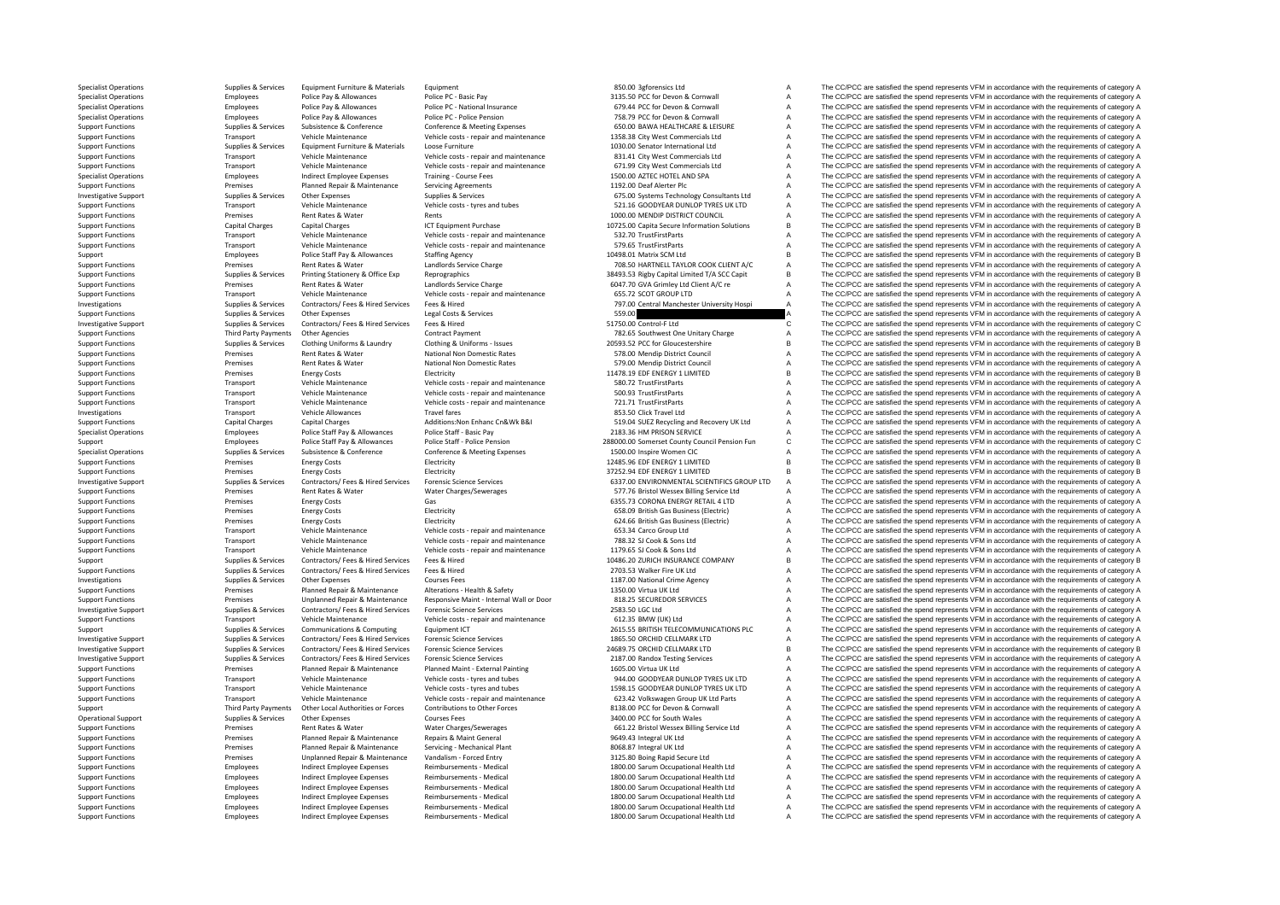Specialist Operations Supplies & Services Equipment Furniture & Materials Equipment Equipment Equipment Equipment Supplier Represents and the SCON Supplies and the spend represents VFM in accordance with the requirements o Specialist Operations Employees Police Pay & Allowances Police Pay and Devon Browner Corner and the pay and the pay a the CC/PCC are satisfied the spend represents VFM in accordance with the requirements of category A The Specialist Operations Employees Police Pay & Allowances Police PC ٬ National Insurance 679.44 PCC for Devon & Cornwall A The CC/PCC are satisfied the spend represents VFM in accordance with the requirements of category A T Specialist Operations Employees Police Pay & Allowances Police Per-Police Persion Police Pension Police Persion Police Persion 758.79 PCC for Devon & Cornwall A The CC/PCC are satisfied the spend represents VFM in accordan Supplies & Services Substence & Conference Conference Meeting Expenses CONSULTER CONSULTER SUBSTEMENT A The COPCC are satisfied the spend represents VFM in accordance with the requirements of category A<br>Transport Vehicle M Transport Vehicle Maintenance Vehicle costs - repair and maintenance 1358.38 City West Commercials Ltd A The CC/PCC are satisfied the spend represents VFM in accordance with the requirements of category A Support Functions Supplies & Services Equipment Furniture & Materials Loose Furniture 2008 Functions 1030.00 Senator International Ltd A The CC/PCC are satisfied the spend represents VFM in accordance with the requirements S31.41 City West Commercials Ltd **A** The CC/PCC are satisfied the spend represents VFM in accordance with the requirements of category A The CC/PCC are satisfied the spend represents VFM in accordance with the requirements Support Functions Transport Vehicle Maintenance Vehicle costs - repair and maintenance 671.99 City West Commercials Ltd A The CC/PCC are satisfied the spend represents VFM in accordance with the requirements of category A Specialist Operations Employees Indirect Employee Expenses Training - Course Fees 1500.00 AZTEC HOTEL AND SPA The CC/PCC are satisfied the spend represents VFM in accordance with the requirements of category A Support Functions Premises Planned Repair & Maintenance Servicing Agreements Premises Services Servicing Agreements 1192.00 Deaf Alerter Plc A The CC/PCC are satisfied the spend represents VFM in accordance with the requir Investigative Support Supplies & Services Other Expenses Supplies & Services Supplies & Services 675.00 Systems Technology Consultants Ltd A The CC/PCC are satisfied the spend represents VFM in accordance with the requirem Support Functions Transport Vehicle Maintenance Vehicle costs - tyres and tubes 521.16 GOODYEAR DUNLOP TYRES UK LTD A The CC/PCC are satisfied the spend represents VFM in accordance with the requirements of category A Supp Premises Rent Rates & Water Rents Rents Rents Rents Rents Rents Rents Rents Rents Rents Rents Rents Rents Rents Rent Rents Rents Rent Rents Rent Rents Rent Rents Rent Rents Rent Rents Rents Rent Rents Rents Rent Rents Rent Support Functions Capital Charges Capital Charges Capital Charges ICT Equipment Purchase 10725.00 Capita Secure Information Solutions B The CC/PCC are satisfied the spend represents VFM in accordance with the requirements Support Functions Transport Vehicle Maintenance Vehicle costs - repair and maintenance 532.70 TrustFirstParts A The CC/PCC are satisfied the spend represents VFM in accordance with the requirements of category A Support Fu Transport Vehicle Maintenance Vehicle costs ‐ repair and maintenance 579.65 TrustFirstParts A The CC/PCC are satisfied the spend represents VFM in accordance with the requirements of category A Support Employees Police Staff Pay & Allowances Staffing Agency Staffing Agency 10498.01 Matrix SCM Ltd B The CC/PCC are satisfied the spend represents VFM in accordance with the requirements of category B<br>Support Function Experiences Rent Rates & Water Mater Charge Landlords Service Charge 708.50 HARTNELL TAYLOR COOK CLIENT A/C A The CC/PCC are satisfied the spend represents VFM in accordance with the requirements of category A Support of t Supplies & Services Printing Stationery & Office Exp Reprographics Contract Stationary and Sales and Support Functions The CC/PCC are satisfied the spend represents VFM in accordance with the requirements of category B Support Functions Premises Rent Rates & Water Landlords Service Charge 6047.70 GVA Grimley Ltd Client A/C re A The CC/PCC are satisfied the spend represents VFM in accordance with the requirements of category A Support Functions Transport Vehicle Maintenance Vehicle costs - repair and maintenance 655.72 SCOT GROUP LTD A The CC/PCC are satisfied the spend represents VFM in accordance with the requirements of category A Supplies & Services Contractors/ Fees & Hired Services Fees & Hired Services Fees & Hired Contractors Fees & Hired Contractors Fees & Hired Manchester Vibrosofty Hospital And The CC/PCC are satisfied the spend represents V Support Functions Supplies Aservices Other Expenses Legal Costs & Services Support Support The CC/PCC are satisfied the spend represents VFM in accordance with the requirements of category A Declear the Support Functions o The CC/PCC are satisfied the spend represents VFM in accordance with the requirements of category C Support Functions Third Party Payments Other Agencies Contract Payment Contract Payment 782.65 Southwest One Unitary Charge A The CC/PCC are satisfied the spend represents VFM in accordance with the requirements of categor Supplies & Services Clothing Uniforms & Laundry Clothing & Uniforms - Issues 20593.52 PCC for Gloucestershire Burger and The CC/PCC are satisfied the spend represents VFM in accordance with the requirements of category B<br>S National Non Domestic Rates 578.00 Mendip District Council A The CC/PCC are satisfied the spend represents VFM in accordance with the requirements of category A<br>National Non Domestic Pates 578.00 Mendin District Council A Support Functions Premises Rent Rates & Water National Non Domestic Rates STRUM Mendip District Council A The CC/PCC are satisfied the spend represents VFM in accordance with the requirements of category A Support Function Support Functions Premises Energy Costs Energy Costs Electricity Electricity Electricity Electricity Electricity 11478.19 EDF ENERGY 1 LIMITED B The CC/PCC are satisfied the spend represents VFM in accordance with the requ Vehicle Costs - repair and maintenance 580.72 TrustFirstParts A The CC/PCC are satisfied the spend represents VFM in accordance with the requirements of category A Vehicle costs - repair and maintenance 500.93 TrustFirstPa Support Functions Transport Vehicle Maintenance Vehicle costs - repair and maintenance 500.93 TrustFirstParts A The CC/PCC are satisfied the spend represents VFM in accordance with the requirements of category A Support Functions and Transport Vehicle Maintenance Vehicle costs ‐ repair and maintenance 721.71 TrustFirstParts A The CC/PCC are satisfied the spend represents VFM in accordance with the requirements of category A Investigations Transport Vehicle Allowances Travel fares Travel fares and the S53.50 Click Travel Ltd A The CC/PCC are satisfied the spend represents VFM in accordance with the requirements of category A Support Functions Capital Charges Capital Charges Additions:Non Enhanc Cn&Wk B&I 519.04 Substitute Covery UK Ltd A The CC/PCC are satisfied the spend represents VFM in accordance with the requirements of category A Substit Specialist Operations Employees Police Staff Pay & Allowances Police Staff - Basic Pay 2183.36 HM PRISON SERVICE A The CC/PCC are satisfied the spend represents VFM in accordance with the requirements of category A service Cunnort Contract Police Capacase Delice Capacase Delice Capacase Delice Capacase Delice Capacase Delice Capacase Delice Capacase Delice Capacase Delice Capacase Delice Capacase Delice Capacase Delice Capacase Delice Capaca Specialist Operations Supplies & Supplies & Subsistence & Conference Conference & Meeting Expenses 1500.00 Inspire Women CIC A The CC/PCC are satisfied the spend represents VFM in accordance with the requirements of catego Premises Energy Costs Electricity Electricity 12485.96 ENERGY 1 LIMITED B The CC/PCC are satisfied the spend represents VFM in accordance with the requirements of category B<br>Premises Freezy Costs Flectricity Flectricity Fl Support Functions Premises Energy Costs Energy Costs Electricity Electricity Electricity Electricity and the properties Entergy Costs Electricity and Electricity and Electricity and Support Electricity and Support Electric Investigative Support Electrophenic Support Support Support Support Support Support Support Support Support Support Support Support Support Premises Contractors (Fees & Hired Services Forensic Science Services of Support F Support Functions Premises Rent Rates & Water Water Charges/Sewerages States Charges Functions 1977.76 Bristol Wessex Billing Service Ltd A The CC/PCC are satisfied the spend represents VFM in accordance with the requireme Support Functions Premises Energy Costs Gas Gas Gas Caroline and Content Content Content Content Content Content Content Content A The CC/PCC are satisfied the spend represents VFM in accordance with the requirements of ca Support Functions Premises Energy Costs Electricity Electricity Electricity Electricity and the spend of category A The CC/PCC are satisfied the spend represents VFM in accordance with the requirements of category A Suppor Energy Costs and The Companises Electricity Electricity Electricity Electricity 624.66 British Gas Business (Electric) A The CC/PCC are satisfied the spend represents VFM in accordance with the requirements of category A T Support Functions Transport Vehicle Maintenance Vehicle costs ‐ repair and maintenance 653.34 Carco Group Ltd A The CC/PCC are satisfied the spend represents VFM in accordance with the requirements of category A Support Fu Support Functions Transport Vehicle Maintenance Vehicle costs ‐ repair and maintenance 788.32 SJ Cook & Sons Ltd A The CC/PCC are satisfied the spend represents VFM in accordance with the requirements of category A Support Transport Vehicle Maintenance Vehicle costs - repair and maintenance 1179.65 SJ Cook & Sons Ltd A The CC/PCC are satisfied the spend represents VFM in accordance with the requirements of category A Support Supplies & Supplies & Services Contractors/ Fees & Hired Services Fees & Hired 10486.20 ZURICH INSURANCE COMPANY B The CC/PCC are satisfied the spend represents VFM in accordance with the requirements of category B Supplies & Services Contractors/ Fees & Hired Services Fees & Hired Services Fees & Hired 2703.53 Walker Fire UK Ltd A The CC/PCC are satisfied the spend represents VFM in accordance with the requirements of category A Sup Investigations Supplies & Services Other Expenses Courses Fees Courses Courses Courses Courses Courses Fees 1187.00 National Crime Agency A The CC/PCC are satisfied the spend represents VFM in accordance with the requireme Support Functions Premises Planned Repair & Maintenance Alterations - Health & Safety 1350.00 Virtua UK Ltd A The CC/PCC are satisfied the spend represents VFM in accordance with the requirements of category A Support Func Support Functions Premises Unplanned Repair & Maintenance Responsive Maint Internal Wall or Door 818.25 SECUREDOR SERVICES A The CC/PCC are satisfied the spend represents VFM in accordance with the requirements of category Investigative Support Support Support Support Support Support Support Support Support Support Support Support Support Support Support Support Contractors/ Fees & Hired Services Forensic Science Services And the requirement Support Functions Transport Vehicle Maintenance Vehicle costs - repair and maintenance 612.35 BMW (UK) Ltd A The CC/PCC are satisfied the spend represents VFM in accordance with the requirements of category A Support Suppo Support Supplies & Services Communications & Computing Equipment ICT 2615.55 BRITISH TELECOMMUNICATIONS PLC A The CC/PCC are satisfied the spend represents VFM in accordance with the requirements of category A Investigative Support Support Support Support Support Support Support Support Support Support Support Support Support Support Support Support Support Support Support Support Support Support Support Support Support Support Investigative Support Supplies & Services Contractors/ Fees & Hired Services Forensic Science Services 24689.75 ORCHID CELLMARK LTD B The CC/PCC are satisfied the spend represents VFM in accordance with the requirements of category B Forensic Science Services and the comparison of the STAD and the STAD and the SCPCC are satisfied the spend represents VFM in accordance with the requirements of category A<br>Planned Maint - Fyternal Painting of the STAD of Support Functions Premises Planned Repair & Maintenance Planned Maint - External Painting 1605.00 Virtua UK Ltd A The CC/PCC are satisfied the spend represents VFM in accordance with the requirements of category A Support Support Functions Transport Vehicle Maintenance Vehicle costs – tyres and tubes 944.00 GOODYEAR DUNLOP TYRES UK LTD A The CC/PCC are satisfied the spend represents VFM in accordance with the requirements of category A Supp The CC/PCC are satisfied the spend represents VFM in accordance with the requirements of category A Transport Vehicle Maintenance Vehicle Costs - repair and maintenance and the CONCY of The CC/PCC are satisfied the spend represents VFM in accordance with the requirements of category A<br>Third Party Payments Other Local Aut Third Party Payments Other Local Authorities or Forces Contributions to Other Forces and the Support and the COPCC are satisfied the spend represents VFM in accordance with the requirements of category A<br>
Onlies & Supplies Operational Support Courses Fees Courses Fees 3400.00 PCC for South Wales A The CC/PCC are satisfied the spend represents VFM in accordance with the requirements of category A The C. PCC are satisfied the spend represents Support Functions Premises Rent Rates & Water Water Water Charges/Sewerages 661.22 Bristol Wessex Billing Service Ltd A The CC/PCC are satisfied the spend represents VFM in accordance with the requirements of category A Support Functions Premises Planned Repair & Maintenance Repairs & Maint General 9649.43 Integral UK Ltd A The CC/PCC are satisfied the spend represents VFM in accordance with the requirements of category A Support Function Premises Planned Repair & Maintenance Servicing · Mechanical Plant 8068.87 Integral UK Ltd A The CC/PCC are satisfied the spend represents VFM in accordance with the requirements of category A Support Functions Premises Unplanned Repair & Maintenance Vandalism ‐ Forced Entry 3125.80 Boing Rapid Secure Ltd A The CC/PCC are satisfied the spend represents VFM in accordance with the requirements of category A Suppor Support Functions Employees Indirect Employee Expenses Reimbursements - Medical 1800.00 Sarum Occupational Health Ltd A The CC/PCC are satisfied the spend represents VFM in accordance with the requirements of category A Support Functions Employees Indirect Employee Expenses Reimbursements - Medical 1800.00 Sarum Occupational Health Ltd A The CC/PCC are satisfied the spend represents VFM in accordance with the requirements of category A Su Support Functions Employees Indirect Employee Expenses Reimbursements - Medical 1800.00 Sarum Occupational Health Ltd A The CC/PCC are satisfied the spend represents VFM in accordance with the requirements of category A Support Functions Employees Indirect Employee Expenses Reimbursements - Medical 1800.00 Sarum Occupational Health Ltd A The CC/PCC are satisfied the spend represents VFM in accordance with the requirements of category A Support Functions Employees Indirect Employee Expenses Reimbursements - Medical 1800.00 Sarum Occupational Health Ltd A The CC/PCC are satisfied the spend represents VFM in accordance with the requirements of category A Su Employees Indirect Employee Expenses Reimbursements - Medical 1800.00 Sarum Occupational Health Ltd A The CC/PCC are satisfied the spend represents VFM in accordance with the requirements of category A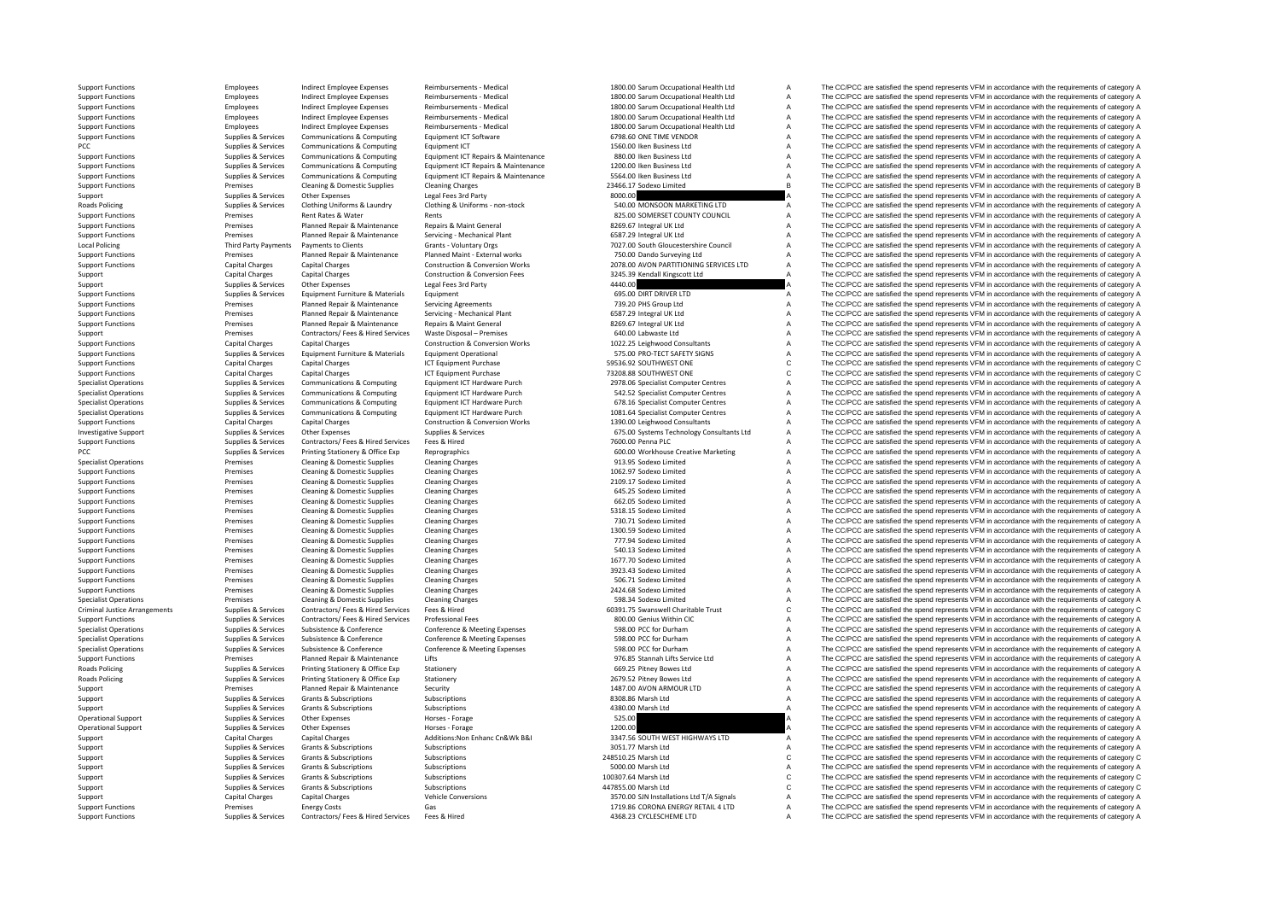Roads Policing Local Policing Criminal Justice**Roads Policing Roads Policing** 

Support Functions Supplies & Services Contractors/ Fees & Hired Services Fees & Hired Music Hired 4368.23 CYCLESCHEME LTD A The CC/PCC are satisfied the spend represents VFM in accordance with the requirements of category

Support Functions Employees Indirect Employee Expenses Reimbursements - Medical 1800.00 Sarum Occupational Health Ltd A The CC/PCC are satisfied the spend represents VFM in accordance with the requirements of category A Su Support Functions Employees Indirect Employee Expenses Reimbursements – Medical 1800.00 Sarum Occupational Health Ltd A The CC/PCC are satisfied the spend represents VFM in accordance with the requirements of category A Th Support Functions Employees Indirect Employee Reimbursements Medical 1800.00 Sarum Occupational Health Ltd A The CC/PCC are satisfied the spend represents VFM in accordance with the requirements of category A Support Functions Employees Indirect Employee Expenses Reimbursements - Medical 1800.00 Sarum Occupational Health Ltd A The CC/PCC are satisfied the spend represents VFM in accordance with the requirements of category A Su Support Functions Employee Expenses Reimbursements - Medical 1800.00 Sarum Occupational Health Ltd A The CC/PCC are satisfied the spend represents VFM in accordance with the requirements of category A Support A Support A S Support Functions Supplies & Services Communications & Computing Equipment ICT Software 6798.60 ONE TIME VENDOR A The CC/PCC are satisfied the spend represents VFM in accordance with the requirements of category A Support PCC PCC are satisfied the spend represents VFM in accordance with the requirements of category A Supplies & Supplies & Supplies & Supplies Communications & Computing Equipment ICT Penairs & Maintenance and an International 880.00 lken Business Ltd **A** The CC/PCC are satisfied the spend represents VFM in accordance with the requirements of category A<br>1200.00 lken Business Ltd **A** The CC/PCC are satisfied the spend represents VFM in accordance Supplies & Supplies & Services Communications & Computing Equipment ICT Repairs & Maintenance 1200.00 Iken Business Ltd The CCPCC are satisfied the spend represents VFM in accordance with the requirements of category A Sup Support Functions Supplies & Services Communications & Computing Equipment ICT Repairs & Maintenance 5564.00 Iken Business Ltd . The CCPCC are satisfied the spend represents VFM in accordance with the requirements of categ Support Functions Cleaning Cleaning & Domestic Supplies Cleaning Charges 23466.17 Sodexo Limited B The CC/PCC are satisfied the spend represents VFM in accordance with the requirements of category B Support Supplies & Services Other Expenses Legal Fees 3rd Party and Support Support Category A The CC/PCC are satisfied the spend represents VFM in accordance with the requirements of category A Roads Policing Marty Suppli Policing Supplies & Services Clothing Uniforms & Laundry Clothing & Uniforms - non-stock 540.00 MONSOON MARKETING LTD A The CC/PCC are satisfied the spend represents VFM in accordance with the requirements of category A Su A The CC/PCC are satisfied the spend represents VFM in accordance with the requirements of category A Support Functions Premises Planned Repair & Maintenance Repairs & Maint General 8269.67 Integral UK Ltd A The CC/PCC are satisfied the spend represents VFM in accordance with the requirements of category A Support Function Support Functions Premises Planned Repair & Maintenance Servicing - Mechanical Plant 6587.29 Integral UK Ltd A The CC/PCC are satisfied the spend represents VFM in accordance with the requirements of category A Policing Third Party Payments Payments to Clients Grants Voluntary Orgs 7027.00 South Gloucestershire Council A The CC/PCC are satisfied the spend represents VFM in accordance with the requirements of category A Support Functions Premises Planned Repair & Maintenance Planned Maint - External works 750.00 Dando Surveying Ltd A The CC/PCC are satisfied the spend represents VFM in accordance with the requirements of category A Suppor Support Functions Construction & Conversion Works Capital Charges Capital Charges Capital Charges Construction & Conversion Works 2078.00 AVON PARTITIONING SERVICES LTD A The CC/PCC are satisfied the spend represents VFM i Support Capital Charges Capital Charges Construction & Conversion Fees 3245.39 Kendall Kingscott Ltd A The CC/PCC are satisfied the spend represents VFM in accordance with the requirements of category A Support Supplies & Services Other Expenses Legal Fees 3rd Party Legal Fees 3rd Party 4440.00 A The CC/PCC are satisfied the spend represents VFM in accordance with the requirements of category A Support Functions Support F Support Functions Supplies & Services Equipment Furniture & Materials Equipment Equipment Equipment Equipment Computer CO/PCC are and the CC/PCC are satisfied the spend represents VFM in accordance with the requirements of Support Functions Premises Planned Repair & Maintenance Servicing Agreements 739.20 PHS Group Ltd A The CC/PCC are satisfied the spend represents VFM in accordance with the requirements of category A Support Functions Prem Support Functions Premises Planned Repair & Maintenance Servicing • Mechanical Plant 6587.29 Integral UK Ltd A The CC/PCC are satisfied the spend represents VFM in accordance with the requirements of category A Support Fun Support The CC/PCC are satisfied the spend represents VFM in accordance with the requirements of category A Support Premises Contractors/ Fees & Hired Services Waste Disposal – Premises Contractors/ Fees & Hired Services Waste Disposal – Premises 640.00 Labwaste Ltd A The CC/PCC are satisfied the spend represents VFM in accordan Support Functions Capital Charges Capital Charges Construction & Conversion Works 1022.25 Leighwood Consultants A The CC/PCC are satisfied the spend represents VFM in accordance with the requirements of category A Support Equipment Operational ST5.00 PRO‐TECT SAFETY SIGNS A The CC/PCC are satisfied the spend represents VFM in accordance with the requirements of category A<br>ICT Equipment Purchase and the spending services are satisfied the sp Support Functions Capital Charges Capital Charges Capital Charges Capital Charges ICT Equipment Purchase ICT Equipment Purchase 59536.92 SOUTHWEST ONE C The CC/PCC are satisfied the spend represents VFM in accordance with Support Functions Capital Charges Capital Charges Capital Charges ICT Equipment Purchase ICT Equipment Purchase 73208.88 SOUTHWEST ONE COME COME COME CONCLARGE The CC/PCC are satisfied the spend represents VFM in accordanc Supplies & Services Communications & Computing Equipment ICT Hardware Purch 2978.06 Specialist Computer Centres A The CC/PCC are satisfied the spend represents VFM in accordance with the requirements of category A<br>Supplies A The CC/PCC are satisfied the spend represents VFM in accordance with the requirements of category A Supplies & Supplies & Supplies Communications & Computing Equipment ICT Hardware Purch 678.16 Specialist Computer Centres A The CC/PCC are satisfied the spend represents VFM in accordance with the requirements of category Supplies & Services Communications & Computing Equipment ICT Hardware Purch 1081.64 Specialist Computer Centres A The CC/PCC are satisfied the spend represents VFM in accordance with the requirements of category A Support Functions Capital Charges Capital Charges Capital Charges Construction & Conversion Works 1390.00 Leighwood Consultants A The CC/PCC are satisfied the spend represents VFM in accordance with the requirements of cat Investigative Support Support Support Support Services Supplies Services Supplies & Services 675.00 Systems Technology Consultants Ltd A The CC/PCC are satisfied the spend represents VFM in accordance with the requirements Support Functions Supplies & Services Contractors/ Fees & Hired Services Fees & Hired Support Fees & Hired Support Fees & Hired Support Fees & Hired The CO/PCC are satisfied the spend represents VFM in accordance with the PCC PCC Supplies A Supplies & Services Printing Stationery & Office Exp Reprographics 600.00 Workhouse Creative Marketing A The CC/PCC are satisfied the spend represents VFM in accordance with the requirements of category Premises Cleaning & Domestic Supplies Cleaning Charges Cleaning Charges 913.95 Sodexo Limited A The CC/PCC are satisfied the spend represents VFM in accordance with the requirements of category A Support Functions Cleaning A Domestic Supplies Cleaning Charges 1062.97 Sodexo Limited A The CC/PCC are satisfied the spend represents VFM in accordance with the requirements of category A Support Functions Premises Cleaning & Domestic Supplies Cleaning Charges Cleaning Charges 2009.17 Sodexo Limited A The CC/PCC are satisfied the spend represents VFM in accordance with the requirements of category A Support Premises Cleaning & Domestic Supplies Cleaning Charges 695.25 Sodexo Limited A The CC/PCC are satisfied the spend represents VFM in accordance with the requirements of category A Support Functions Premises Cleaning & Domestic Supplies Cleaning Charges Cleaning Charges Cleaning Charges 662.05 Sodexo Limited A The CC/PCC are satisfied the spend represents VFM in accordance with the requirements of ca Support Functions Premises Cleaning & Domestic Supplies Cleaning Charges Cleaning Charges Cleaning Charges Cleaning Charges Cleaning Charges Cleaning Charges Cleaning Charges Cleaning Charges 70.71 Sodexo Limited A The CC/ Support Functions Premises Cleaning A The CC/PCC are satisfied the spend represents VFM in accordance with the requirements of category A The CC/PCC are satisfied the spend represents VFM in accordance with the requirement Support Functions Premises Cleaning & Domestic Supplies Cleaning Charges Cleaning Charges Cleaning Charges Cleaning Charges Cleaning Charges 1300.59 Sodexo Limited A The CC/PCC are satisfied the spend represents VFM in acc Support Functions Premises Cleaning & Domestic Supplies Cleaning Charges Cleaning Charges 777.94 Sodexo Limited A The CC/PCC are satisfied the spend represents VFM in accordance with the requirements of category A Support Premises Cleaning & Domestic Supplies Cleaning Charges Cleaning Charges 540.13 Sodexo Limited A The CC/PCC are satisfied the spend represents VFM in accordance with the requirements of category A Support Functions Premises Cleaning & Domestic Supplies Cleaning Charges Cleaning Charges Cleaning Charges 1677.70 Sodexo Limited A The CC/PCC are satisfied the spend represents VFM in accordance with the requirements of c Cleaning & Domestic Supplies Cleaning Charges Cleaning Charges Support Functions 2023.43 Sodexo Limited a The CC/PCC are satisfied the spend represents VFM in accordance with the requirements of category A Cleaning Charges Support Functions Premises Cleaning & Domestic Supplies Cleaning Charges Cleaning Charges Supplies Cleaning Charges 506.71 Sodexo Limited A The CC/PCC are satisfied the spend represents VFM in accordance with the requireme Support Functions Premises Cleaning & Domestic Supplies Cleaning Charges Cleaning Charges Cleaning Charges 2424.68 Sodexo Limited A The CC/PCC are satisfied the spend represents VFM in accordance with the requirements of c Specialist Operations Premises Cleaning & Domestic Supplies Cleaning Charges Cleaning Charges 598.34 Sodexo Limited A The CC/PCC are satisfied the spend represents VFM in accordance with the requirements of category A Arrangements Supplies & Services Contractors/ Fees & Hired Services Fees & Hired Fees Mired Contractors/ Fees & Hired Services Fees & Hired Services Fees & Hired Services Fees & Hired Services Professional Fees Supplies CO Support Functions Supplies & Supplies & Supplies & Contractors/ Fees & Hired Services Professional Fees Professional Fees 800.00 Cenius Within CIC Manus A The CC/PCC are satisfied the spend represents VFM in accordance wit Specialist Operations Supplies & Services Subsistence & Conference Conference & Meeting Expenses 598.00 PCC for Durham A The CC/PCC are satisfied the spend represents VFM in accordance with the requirements of category A Specialist Operations Supplies & Supplies & Subsistence & Conference Conference Ameeting Expenses 598.00 PCC for Durham A The CC/PCC are satisfied the spend represents VFM in accordance with the requirements of category A Specialist Operations Supplies & Services Subsistence & Conference Conference & Meeting Expenses 598.00 PCC for Durham A The CC/PCC are satisfied the spend represents VFM in accordance with the requirements of category A S Premises Planned Repair & Maintenance Lifts Support Functions Category A The CC/PCC are satisfied the spend represents VFM in accordance with the requirements of category A Policing Supplies & Services Printing Stationery & Office Exp Stationery 669.25 Pitney Bowes Ltd A The CC/PCC are satisfied the spend represents VFM in accordance with the requirements of category A Policing Supplies & Services Printing Stationery & Office Exp Stationery Stationery 2679.52 Pitney Bowes Ltd A The CC/PCC are satisfied the spend represents VFM in accordance with the requirements of category A Support Pre Premises Planned Repair & Maintenance Security Support Category A 1487.00 AVON ARMOUR LTD A The CC/PCC are satisfied the spend represents VFM in accordance with the requirements of category A Supplies & Subscriptions Subscriptions Subscriptions Subscriptions Subscriptions Subscriptions Subscriptions Subscriptions and the CO/PCC are satisfied the spend represents VFM in accordance with the requirements of catego Support Supplies & Subscriptions Subscriptions Subscriptions Subscriptions and the CONSTRIPTION CONSTRIPTION CONSTRIPTION CONSTRIPTION A The CC/PCC are satisfied the spend represents VFM in accordance with the requirements Operational Support Support Support Support Support Support Support Support Support Support Support Support Support Support The CC/PCC are satisfied the spend represents VFM in accordance with the requirements of category Operational Support Support Support Support Support Support Support Support Support Support Support Support Support Support Support Support Support Support Support Support Support Support Support Support Support Support Su Support Capital Charges Capital Charges Additions:Non Enhanc Cn&Wk B&I 3347.56 SOUTH WEST HIGHWAYS LTD A The CC/PCC are satisfied the spend represents VFM in accordance with the requirements of category A Support Supplies & Services Grants & Subscriptions Subscriptions Subscriptions Subscriptions Subscriptions Subscriptions 3051.77 Marsh Ltd A The CC/PCC are satisfied the spend represents VFM in accordance with the requirem Supplies & Subscriptions Subscriptions Subscriptions 248510.25 Marsh Ltd C The CC/PCC are satisfied the spend represents VFM in accordance with the requirements of category C<br>Subscriptions Subscriptions Subscriptions Subsc Support Supplies & Services Grants & Subscriptions Subscriptions Subscriptions Subscriptions Subscriptions Subscriptions Subscriptions Subscriptions Subscriptions Subscriptions Subscriptions Subscriptions Subscriptions Sub Supplies Subscriptions Subscriptions Subscriptions Subscriptions Subscriptions Subscriptions Subscriptions and the metal of the COMENALLY C The CC/PCC are satisfied the spend represents VFM in accordance with the requireme Support Supplies & Subscriptions Subscriptions Subscriptions Subscriptions and the Subscriptions Subscriptions Subscriptions Subscriptions and the category C The CC/PCC are satisfied the spend represents VFM in accordance Support Capital Charges Capital Charges Vehicle Conversions Vehicle Conversions 3570.00 SJN Installations Ltd T/A Signals A The CC/PCC are satisfied the spend represents VFM in accordance with the requirements of category Support Functions Premises Energy Costs Gas Gas Gas Costs Gas Hired Costs Gas 1719.86 CORONA ENERGY RETAIL 4 LTD A The CC/PCC are satisfied the spend represents VFM in accordance with the requirements of category A Support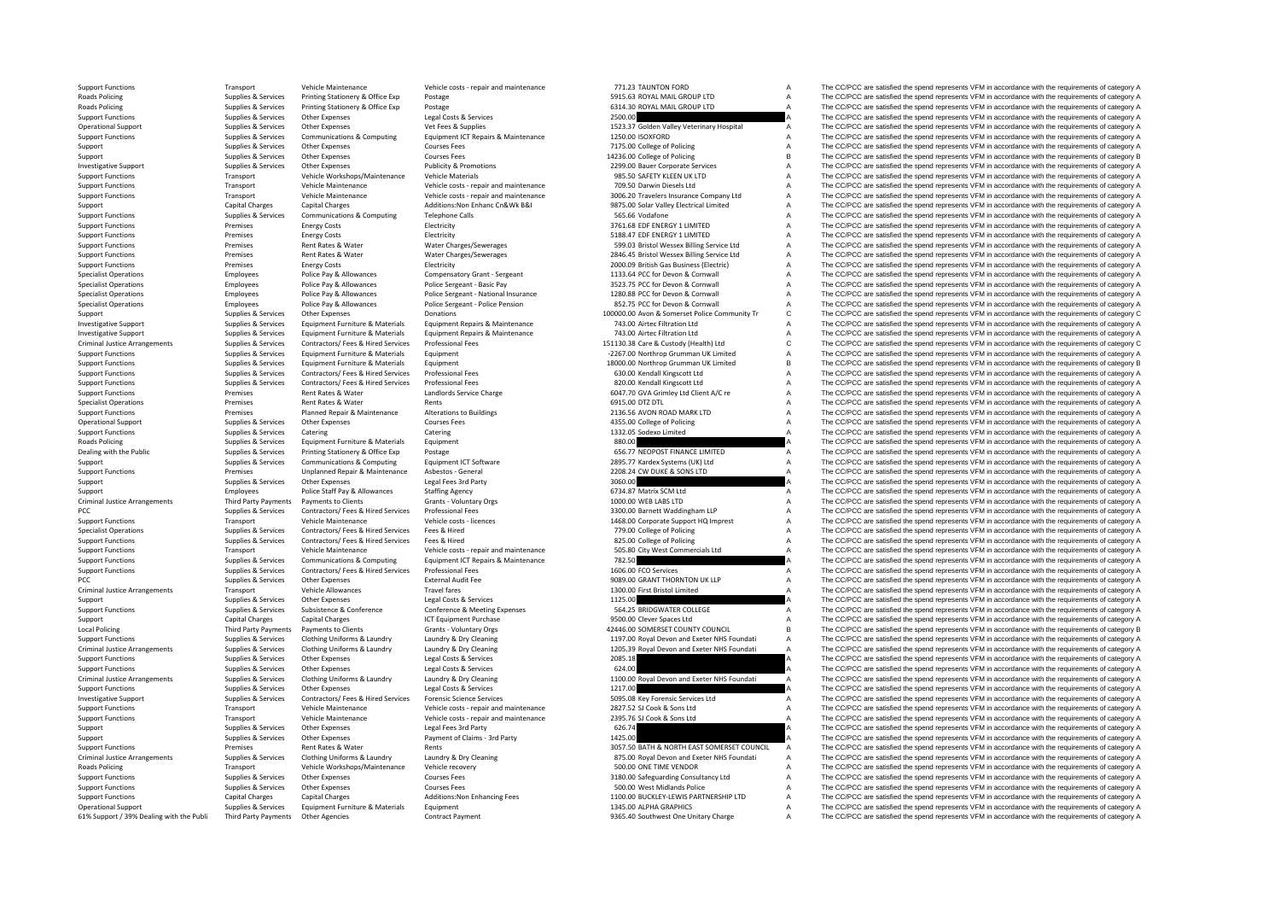**Roads Policing** Roads Policing Criminal Justice**Roads Policing** Criminal JusticeCriminal Justice**Local Policing** Criminal JusticeCriminal JusticeCriminal Justice**Roads Policing** 61% Support / 39% Dealing with the Publi

Third Party Payments Other Agencies Contract Payment Contract Payment Schedule and the SCO/PCC are satisfied the spend represents VFM in accordance with the requirements of category A The CC/PCC are satisfied the spend rep

Support Functions Transport Vehicle Maintenance Vehicle costs - repair and maintenance 771.23 TAUNTON FORD A The CC/PCC are satisfied the spend represents VFM in accordance with the requirements of category A Reads Policin Printing Stationery & Office Exp Postage Category A Service Supplies A Service Printing Stationery A Democratic Exp Printing Stationery A The CC/PCC are satisfied the spend represents VFM in accordance with the requirement Policing Supplies & Services Printing Stationery & Office Exp Postage Principal Postage Printing Stationery & Office Exp Postage Principal Policing Supplies & Services Printing Stationery A Computer of Category A Supplies Support Functions Supplies & Services Other Expenses Legal Costs & Supplies Legal Costs Corvices Legal Costs & Supplies 2500.00 A The CC/PCC are satisfied the spend represents VFM in accordance with the requirements of cat Opplies & Services Other Expenses Vet Fees & Supplies Vet Fees & Supplies Vet Fees & Supplies Veterinary Hospital A The CC/PCC are satisfied the spend represents VFM in accordance with the requirements of category A Suppli Support Functions Supplies & Services Communications & Computing Equipment ICT Repairs & Maintenance 1250.00 ISOXFORD A The CC/PCC are satisfied the spend represents VFM in accordance with the requirements of category A Support Supplies & Services Other Expenses Courses Fees Courses Courses Courses Courses Courses Courses Courses Courses Courses Courses Fees 7175.00 College of Policing A The CC/PCC are satisfied the spend represents VFM i The CC/PCC are satisfied the spend represents VFM in accordance with the requirements of category B Investigative Support Supplies & Services Other Expenses Publicity & Promotions Publicity & Promotions 2299.00 Bauer Corporate Services A The CC/PCC are satisfied the spend represents VFM in accordance with the requirement Support Functions Transport Vehicle Workshops/Maintenance Vehicle Materials 985.50 SAFETY KLEEN UK LTD A The CC/PCC are satisfied the spend represents VFM in accordance with the requirements of category A The CC/PCC are sa Support Functions Transport Vehicle Maintenance Vehicle costs repair and maintenance 709.50 Darwin Diesels Ltd A The CC/PCC are satisfied the spend represents VFM in accordance with the requirements of category A Transport Vehicle Maintenance Vehicle Costs - repair and maintenance 3006.20 Travelers Insurance Company Ltd A The CC/PCC are satisfied the spend represents VFM in accordance with the requirements of category A<br>Support Cap Support Capital Charges Capital Charges Additions:Non Enhanc Cn&Wk B&I 9875.00 Solar Valley Electrical Limited A The CC/PCC are satisfied the spend represents VFM in accordance with the requirements of category A Support F Support Functions Support Functions Support Functions Supplies A The CC/PCC are satisfied the spend represents VFM in accordance with the requirements of category A The CC/PCC are satisfied the spend represents VFM in acco Support Functions Support Functions Premises Energy Costs Energy Costs Electricity Electricity Electricity Electricity and the Support Energy Costs Electricity Electricity and Support ENERGY 1 LIMITED A The CC/PCC are sati Support Functions Premises Energy Costs Electricity Electricity Electricity Support Functions and the spend represents VFM in accordance with the requirements of category A Support Functions Premises Rent Rates & Water Water Water Charges/Sewerages Sexuerages 599.03 Bristol Wessex Billing Service Ltd A The CC/PCC are satisfied the spend represents VFM in accordance with the requirements of ca Support Functions Premises Rent Rates & Water Water Water Charges/Sewerages 2846.45 Bristol Wessex Billing Service Ltd A The CC/PCC are satisfied the spend represents VFM in accordance with the requirements of category A<br>S Energy Costs Electricity Contains The COLOGN British Gas Business (Electric) A The CC/PCC are satisfied the spend represents VFM in accordance with the requirements of category A<br>2000.09 British Gas Business Electricity Co Specialist Operations Employees Police Pay & Allowances Compensatory Grant – Sergeant 1133.64 PCC for Devon & Cornwall A The CC/PCC are satisfied the spend represents VFM in accordance with the requirements of category A S Specialist Operations Employees Police Pay & Allowances Police Sergeant - Basic Pay 3523.75 PCC for Devon & Cornwall A The CC/PCC are satisfied the spend represents VFM in accordance with the requirements of category A Specialist Operations Content of the condensive provide Pay & Allowances Police Sergeant - National Insurance 1280.88 PCC for Devon & Cornwall Content A The CC/PCC are satisfied the spend represents VFM in accordance with Specialist Operations Employees Police Pay & Allowances Police Sergeant - Police Pension 852.75 PCC for Devon & Cornwall A The CC/PCC are satisfied the spend represents VFM in accordance with the requirements of category C Support Supplies & Services Other Expenses Donations Donations Donations 100000.00 Avon & Somerset Police Community Tr C The CC/PCC are satisfied the spend represents VFM in accordance with the requirements of category C<br>I The CC/PCC are satisfied the spend represents VFM in accordance with the requirements of category A Investigative Support Equipment Support Equipment Furniture & Materials Equipment Repairs & Materiance Materiance 743.00 Artic Filtration Ltd Artic The CC/PCC are satisfied the spend represents VFM in accordance with the r Criminal Justice Arrangements Supplies & Services Contractors/ Fees Hired Services Professional Fees Microsofter Supplies Contractors/ Fees Professional Fees Microsoft Contractors and the custody (Health) Ltd CCPCC are sat Equipment Furniture & Materials Equipment **Functions Constant Constant Constant Constant Constant Constant Constant Constant Constant Constant Constant Constant Constant Constant Constant Constant Constant Constant Constan** Support Functions Supplies Services Equipment Functions & Materials Equipment 18000.00 Northrop Grumman UK Limited B The CC/PCC are satisfied the spend represents VFM in accordance with the requirements of category B Support Functions Supplies & Services Contractors/ Fees & Hired Services Professional Fees 630.00 Kendall Kingscott Ltd A The CC/PCC are satisfied the spend represents VFM in accordance with the requirements of category A Support Functions Supplies & Services Contractors/ Fees & Hired Services Professional Fees Microsoft Professional Fees 820.00 Kendall Kingscott Ltd A The CC/PCC are satisfied the spend represents VFM in accordance with the Premises Rent Rates & Water Mater Landlords Service Charge 6047.70 GVA Grimley Ltd Client A/C re A The CC/PCC are satisfied the spend represents VFM in accordance with the requirements of category A Specialist Operations Specialist Operations Rents Rents Rents Rents Rents Rents Rents Rents Rents Rents Rents Concerned A The CC/PCC are satisfied the spend represents VFM in accordance with the requirements of category A Support Functions Premises Planned Repair & Maintenance Alterations to Buildings 2136.56 AVON ROAD MARK LTD A The CC/PCC are satisfied the spend represents VFM in accordance with the requirements of category A Operational Support Supplies & Services Other Expenses Courses Fees Courses Courses Courses Courses Courses Courses Courses Courses Courses Courses Courses Courses Courses Courses Courses Courses Courses Courses Category A Support Functions Supplies & Services Catering Catering Catering Catering Catering Catering Catering Catering Catering Catering Catering Catering Catering Catering Catering Catering Catering Catering Catering Catering Cate Poplies & Services Equipment Furniture & Materials Equipment Equipment and the Supplies and the CC/PCC are satisfied the spend represents VFM in accordance with the requirements of category A Supplies & Services Printing S Dealing with the Public Supplies & Supplies & Services Printing Stationery & Office Exp Postage Postage Finance 1CT Software 666.77 NEOPOST FINANCE LIMITED A The CC/PCC are satisfied the spend represents VFM in accordance Support Supplies & Services Communications & Computing Equipment ICT Software 2895.77 Kardex Systems (UK) Ltd A The CC/PCC are satisfied the spend represents VFM in accordance with the requirements of category A Support Fu Support Functions Premises Unplanned Repair & Maintenance Asbestos - General 2208.24 CW DUKE & SONS LTD A The CC/PCC are satisfied the spend represents VFM in accordance with the requirements of category A Support Function Support Supplies & Services Other Expenses Legal Fees 3rd Party Legal Party and the spend that the spend the spend represents VFM in accordance with the requirements of category A Support Support Party Police Staff Pay & A Support Employees Police Staff Pay & Allowances Staffing Agency 6734.87 Matrix SCM Ltd A The CC/PCC are satisfied the spend represents VFM in accordance with the requirements of category A Arrangements Payments to Clients Grants - Voluntary Orgs 1000.00 WEB LABS LTD A The CC/PCC are satisfied the spend represents VFM in accordance with the requirements of category A<br>Sunnlies & Services Contractors/ Fees Hire PCC PCC are satisfied the spend of the contractors/ Fees & Hired Services Professional Fees 3300.00 Barnett Waddingham LLP A The CC/PCC are satisfied the spend represents VFM in accordance with the requirements of category Transport Vehicle Maintenance Vehicle costs - licences 1468.00 Corporate Support HQ Imprest A The CC/PCC are satisfied the spend represents VFM in accordance with the requirements of category A Support Support A Support A Specialist Operations Supplies & Supplies & Services Contractors/ Fees & Hired Services Fees & Hired Transferences Fees & Hired The CO/PCC are satisfied the spend represents VFM in accordance with the requirements of categ Support Functions Supplies & Services Contractors/ Fees & Hired Services Fees & Hired Services Fees & Hired 825.00 College of Policing A The CC/PCC are satisfied the spend represents VFM in accordance with the requirements Transport Vehicle Maintenance Vehicle costs - repair and maintenance 505.80 City West Commercials Ltd A The CC/PCC are satisfied the spend represents VFM in accordance with the requirements of category A Support Functions Supplies & Supplies & Services Communications & Computing Equipment ICT Repairs & Maintenance 782.50 782.50 A The CC/PCC are satisfied the spend represents VFM in accordance with the requirements of categ Support Functions Supplies & Services Contractors/ Fees & Hired Services Professional Fees 1606.00 FCO Services 1606.00 FCO Services A The CC/PCC are satisfied the spend represents VFM in accordance with the requirements o The CC/PCC are satisfied the spend represents VFM in accordance with the requirements of category A Transport Vehicle Allowances Travel fares Travel fares 1300.00 First Bristol Limited A The CC/PCC are satisfied the spend represents VFM in accordance with the requirements of category A Supporter the spend represents VFM Support Supplies & Services Other Expenses Legal Costs & Services Legal Costs & Services Legal Costs & Services Legal Costs & Services 2001 A The CC/PCC are satisfied the spend represents VFM in accordance with the require Support Functions Supplies & Services Subsistence & Conference Conference & Meeting Expenses 564.25 BRIDGWATER COLLEGE A The CC/PCC are satisfied the spend represents VFM in accordance with the requirements of category A S Support Capital Charges Capital Charges ICT Equipment Purchase 9500.00 Clever Spaces Ltd A The CC/PCC are satisfied the spend represents VFM in accordance with the requirements of category A Third Party Payments Payments to Clients Grants - Voluntary Orgs 42446.00 SOMERSET COUNTY COUNCIL B The CC/PCC are satisfied the spend represents VFM in accordance with the requirements of category B Supplies & Services Clothing Uniforms & Laundry Laundry Laundry Cleaning Manual Manual Compand Exeter NHS Foundati A The CC/PCC are satisfied the spend represents VFM in accordance with the requirements of category A Crimi Criminal Justice Arrangements Supplies & Services Clothing Uniforms & Laundry Laundry & Dry Cleaning Supplement<br>
Supplies & Supplies & Services Clothing Uniforms & Laundry Laundry & Dry Cleaning Supplies Arrangement of cat The CC/PCC are satisfied the spend represents VFM in accordance with the requirements of category A Support Functions Supplies Supplies & Services Other Expenses Legal Costs Corrices Legal Costs & Services Legal Costs & Support Functions Category A The CC/PCC are satisfied the spend represents VFM in accordance with the Criminal Justice Arrangements Supplies & Services Clothing Uniforms & Laundry Laundry & Dry Cleaning and the Supplies & Supplies & Services Clothing Uniforms & Laundry Laundry & Dry Cleaning and the Supplies Arrangements o The CC/PCC are satisfied the spend represents VFM in accordance with the requirements of category A Investigative Support Support Support Support Support Support Support Support Support Support Support Support<br>Transport Vehicle Maintenance Vehicle Costs - repair and maintenance 2827.52 SLOok & Sons Ltd A The CC/PCC are s Support Functions Transport Vehicle Maintenance Vehicle costs ‐ repair and maintenance 2827.52 SJ Cook & Sons Ltd A The CC/PCC are satisfied the spend represents VFM in accordance with the requirements of category A Suppor Vehicle costs - repair and maintenance 2395.76 SJ Cook & Sons Ltd A The CC/PCC are satisfied the spend represents VFM in accordance with the requirements of category A The CC/PCC are satisfied the spend represents VFM in a Support Support Support Support Other Expenses Legal Fees 3rd Party 626.74 626.74 A The CC/PCC are satisfied the spend represents VFM in accordance with the requirements of category A Support Supplies & Services Other Expenses Payment of Claims - 3rd Party 1425.00 1425.00 A The CC/PCC are satisfied the spend represents VFM in accordance with the requirements of category A Support Functions Premises Rent Rates & Water Rents Rents Rents Rents Rents 3057.50 BATH & NORTH EAST SOMERSET COUNCIL A The CC/PCC are satisfied the spend represents VFM in accordance with the requirements of category A Supplies & Services Clothing Uniforms & Laundry Laundry & Dry Cleaning Clarica and States and Exeter NHS Foundati A The CC/PCC are satisfied the spend represents VFM in accordance with the requirements of category A Transport Vehicle Workshops/Maintenance Vehicle recovery 500.00 ONE TIME VENDOR A The CC/PCC are satisfied the spend represents VFM in accordance with the requirements of category A Support Functions Supplies & Services Other Expenses Courses Fees Courses Courses Courses Courses Courses Courses Courses Courses Courses Courses Courses Courses Courses Courses Courses Courses Courses Courses Courses Cour Support Functions Supplies & Services Other Expenses Courses Fees Courses Courses Courses Courses Courses Courses Courses Courses Courses Courses Courses Courses Courses Courses Courses Courses Additions: Non Enhancing Fee Support Functions Capital Charges Capital Charges Additions:Non Enhancing Fees 1100.00 BUCKLEY-LEWIS PARTNERSHIP LTD A The CC/PCC are satisfied the spend represents VFM in accordance with the requirements of category A Operational Support Support Support Support Equipment Equipment 1345.00 ALPHA GRAPHICS A The CC/PCC are satisfied the spend represents VFM in accordance with the requirements of category A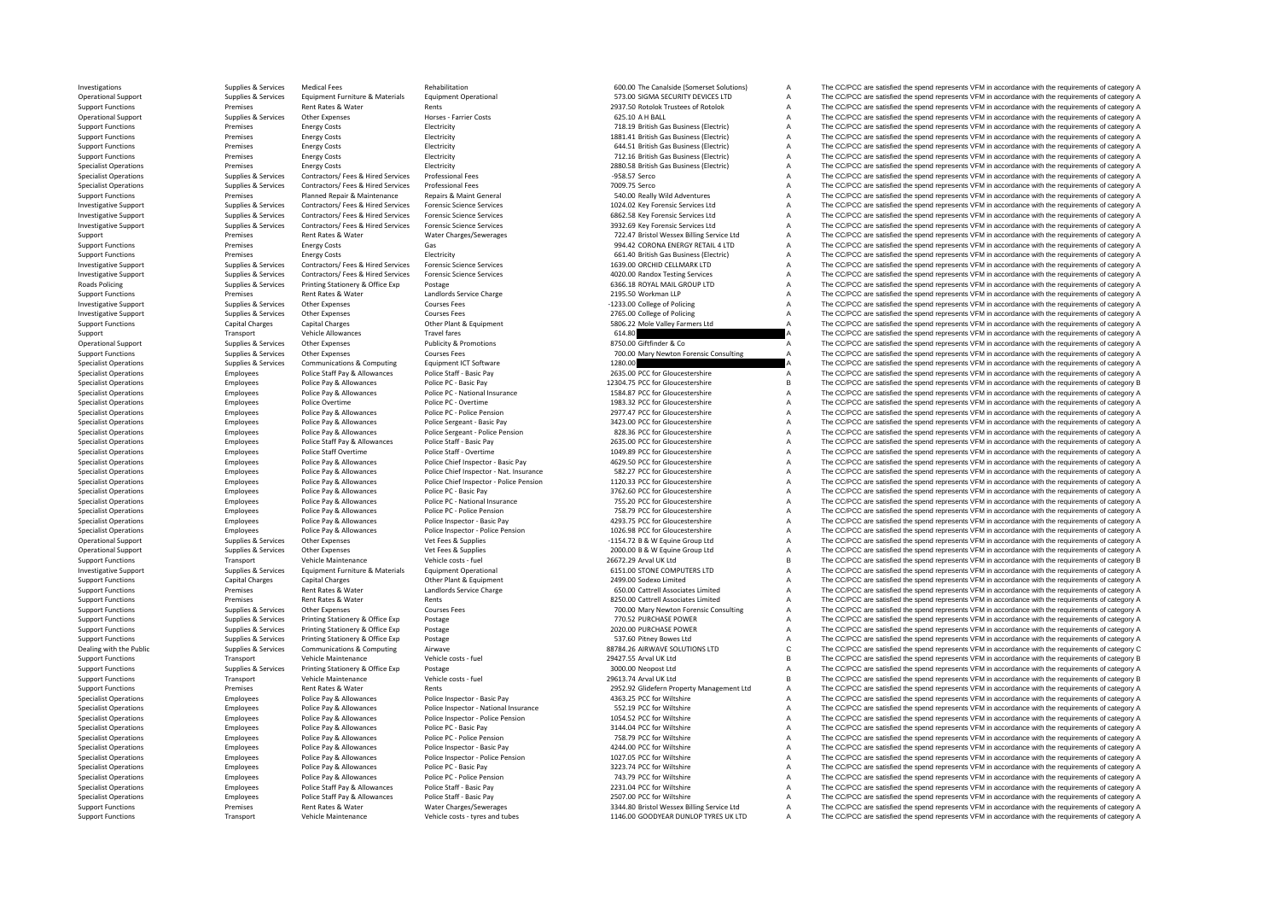**Roads Policing** 

Support Functions Transport Vehicle Maintenance Vehicle costs – tyres and tubes 1146.00 GOODYEAR DUNLOP TYRES UK LTD A The CC/PCC are satisfied the spend represents VFM in accordance with the requirements of category A

Investigations Supplies & Services Medical Fees Rehabilitation and Rehabilitation 600.00 The Canalside (Somerset Solutions) A The CC/PCC are satisfied the spend represents VFM in accordance with the requirements of categor Operational Support Support Supplies & Services Equipment Furniture & Materials Equipment Operational Support Support Support Support Support Support Support Support Support Support Support Support Support Support Support Support Functions Premises Rent Rates & Water Rents Rents Rents 2937.50 Rotolok Trustees of Rotolok A The CC/PCC are satisfied the spend represents VFM in accordance with the requirements of category A Decreminal Support F Operational Support Supplies & Services Other Expenses Horses Farrier Costs Forces Farrier Costs Farrier Costs 625.10 A HALL A The CC/PCC are satisfied the spend represents VFM in accordance with the requirements of catego Support Functions Premises Energy Costs and Electricity Electricity Costs Electricity 718.19 British Gas Business (Electric) A The CC/PCC are satisfied the spend represents VFM in accordance with the requirements of catego Support Functions Premises Energy Costs Electricity Electricity Electricity 1881.41 British Gas Business (Electricity A The CC/PCC are satisfied the spend represents VFM in accordance with the requirements of category A Support Functions Premises Energy Costs Electricity Electricity Electricity Electricity and the spend of the COPCC are satisfied the spend represents VFM in accordance with the requirements of category A Support Functions Support Functions Premises Electricity Communications A The CC/PCC are satisfied the spend represents VFM in accordance with the requirements of category A The CC/PCC are satisfied the spend represents VFM in accordance wi Specialist Operations Premises Premises Energy Costs Electricity Electricity Electricity Electricity and the spend process and the spend represents VFM in accordance with the requirements of category A The CC/PCC are satis Specialist Operations Supplies & Services Contractors/ Fees & Hired Services Professional Fees – 958.57 Serco A The CC/PCC are satisfied the spend represents VFM in accordance with the requirements of category A Specialist Operations Supplies & Services Contractors/ Fees Builes Representations and Fees and The CC/PCC are satisfied the sercolated with the requirements of category A The CC/PCC are satisfied the services with the req Support Functions Premises Planned Repair & Maintenance Repairs & Maint General 540.00 Really Wild Adventures A The CC/PCC are satisfied the spend represents VFM in accordance with the requirements of category A Investigat Example are the controller of the controller of the controller of the controller of the controller of the controller of the controller of the controller of the controller of the controller of the controller of the controll A The CC/PCC are satisfied the spend represents VEM in accordance with the requirements of category A Investigative Support Support Support Support Support Support Support Support Support Support Support Support Support Support Support Support Support Support Support Support Support Support Support Support Support Support Support Charges Rent Rates & Water Water Charges/Sewerages 722.47 Bristol Wessex Billing Service Ltd A The CC/PCC are satisfied the spend represents VFM in accordance with the requirements of category A Support Functions P Premises Energy Costs Gas Gas Content Content Content Content A The CC/PCC are satisfied the spend represents VFM in accordance with the requirements of category A Support Functions Premises Energy Costs Energy Costs Electricity Electricity Electricity Electricity Electricity Electricity and the Support A The CC/PCC are satisfied the spend represents VFM in accordance with the requir Investigative Support Support Support Supporter Support Supporter Support Support Support Support Support Support Support Support Support Support Support Support Support Support Support Support Support Support Support Supp Example of the COPCC are satisfied the spend represents UFM in accordance with the requirements of category A<br>
Supplies & Services Contractors/ Fees & Hired Services Forensic Science Services and a many and the recognition Policing Supplies & Services Printing Stationery & Office Exp Postage Printing Stationery & Office Exp Postage<br>
Support Functions Support Functions and the requirements of category A Support Experiment Content of Category<br> Support Functions Premises Rent Rates & Water Manual Manual Landlords Service Charge 2016 2016 2015.50 Workman LLP A The CC/PCC are satisfied the spend represents VFM in accordance with the requirements of category A Cours Investigative Support Support Supplies & Services Other Expenses Courses Fees Courses Fees Courses Fees and the CONCO are satisfied the spend represents VFM in accordance with the requirements of category A Courses Courses Investigative Support Support Support Support Support Support Support Support Support Support Support Support Support Support Support Support Support Support Support Support Support Support Category A The CC/PCC are satisf The CC/PCC are satisfied the spend represents VFM in accordance with the requirements of category A Support Transport Central Central Central Central Central Central Travel fares Travel fares Travel fares Travel fares Travel fares Fraudrichy & Promotions 614.80 614.80 A The CC/PCC are satisfied the spend represents VFM i Operational Support Supplies & Services Other Expenses Publicity & Promotions Publicity & Promotions 8750.00 Giftfinder & Co A The CC/PCC are satisfied the spend represents VFM in accordance with the requirements of catego Support Functions Support Functions Support Functions Support Functions 2000 Mary Newton Forensic Consulting A The CC/PCC are satisfied the spend represents VFM in accordance with the requirements of category A The CC/PCC Specialist Operations Supplies & Supplies & Services Communications & Computing Equipment ICT Software For a COMPUT 1280.00 CC Computing 1280.00 CC Computing and the CC/PCC are satisfied the spend represents VFM in accorda Specialist Operations Employees Police Staff Pay & Allowances Police Staff - Basic Pay Police Staff - Basic Pay<br>  $\frac{2635.00 \text{ PCC}}{12304.75 \text{ PCC}}$  Profect Pay and The CC/PCC are satisfied the spend represents VFM in accord Specialist Operations Employees Police Pay & Allowances Police PC · Basic Pay Police PC · Basic Pay Police PC · Basic Pay Police PC · Basic Pay 12304.75 PCC for Gloucestershire B The CC/PCC are satisfied the spend represen Employees Police Pay & Allowances Police PC - National Insurance 1584.87 PCC for Gloucestershire A The CC/PCC are satisfied the spend represents VFM in accordance with the requirements of category A Specialist Operations Specialist Operations Police Overtime Police PC overtime Police PC overtime 1983.32 PCC for Gloucestershire A The CC/PCC are satisfied the spend represents VFM in accordance with the requirements of c Specialist Operations Employees Police Pay & Allowances Police Pc - Police Pension 2977.47 PCC for Gloucestershire A The CC/PCC are satisfied the spend represents VFM in accordance with the requirements of category A Specialist Operations Employees Police Pay & Allowances Police Sergeant - Basic Pay Police Sergeant - Basic Pay<br>
Police Pay Allowances Police Sergeant - Police Sergeant - Police Sergeant - Police Persion a sergeant and a T Specialist Operations Police Sergeant - Police Pension 828.36 PCC for Gloucestershire A The CC/PCC are satisfied the spend represents VFM in accordance with the requirements of category A The CC/PCC are satisfied the spend Specialist Operations Employees Police Staff Pay & Allowances Police Staff - Basic Pay 2635.00 PCC for Gloucestershire A The CC/PCC are satisfied the spend represents VFM in accordance with the requirements of category A Specialist Operations Specialist Operations Followers Police Staff Overtime Police Staff - Overtime Police Staff - Overtime Police Staff - Overtime Police Staff - Overtime 1049.89 PCC for Gloucestershire A The CC/PCC are s Employees Police Pay & Allowances Police Chief Inspector - Basic Pay 4629.50 PCC for Gloucestershire A The CC/PCC are satisfied the spend represents VFM in accordance with the requirements of category A Specialist Operations Contractors and Employees Police Pay & Allowances Police Chief Inspector - Nat. Insurance 582.27 PCC for Gloucestershire A The CC/PCC are satisfied the spend represents VFM in accordance with the requ Specialist Operations Specifical engloyees and Police Pay & Allowances Police Chief Inspector - Police Chief Inspector - Police Chief Inspector - Police Pay & Allowances Police Pay Police Pay Police Pay Police Pay Police P The CC/PCC are satisfied the spend represents VFM in accordance with the requirements of category A Specialist Operations Employees Police Pay & Allowances Police PC · National Insurance 755.20 PCC for Gloucestershire A The CC/PCC are satisfied the spend represents VFM in accordance with the requirements of category A Sp Specialist Operations Employees Police Pay & Allowances Police PC • Police Pension Police Pension 758.79 PCC for Gloucestershire A The CC/PCC are satisfied the spend represents VFM in accordance with the requirements of ca Specialist Operations Employees Allowances Police Pay Allowances Police Inspector Pay 4293.75 PCC for Gloucestershire A The CC/PCC are satisfied the spend represents VFM in accordance with the requirements of category A Th Specialist Operations Employees Police Pay & Allowances Police Inspector - Police Pension Police Inspector - Police Pension 1026.98 PCC for Gloucestershire A The CC/PCC are satisfied the spend represents VFM in accordance Operational Support Supplies & Supplies Content Support Support Support Support Support Support Support Support Support Support Support Support Support Support Support Support Support Support Support Support Support Suppor Operational Support Supplies & Services Other Expenses Vet Fees & Supplies Vet Fees & Supplies 2000.00 B & W Equine Group Ltd A The CC/PCC are satisfied the spend represents VFM in accordance with the requirements of categ Support Functions Transport Vehicle Maintenance Vehicle Costs - fuel 26672.29 Arval UK Ltd B The CC/PCC are satisfied the spend represents VFM in accordance with the requirements of category B Investigative Support Support Supplies & Services Equipment Furniture & Materials Equipment Operational experiment and the COMPUTERS LTD A The CC/PCC are satisfied the spend represents VFM in accordance with the requirements of category A<br>Capital Charg Support Functions Capital Charges Capital Charges Capital Charges Other Plant & Equipment 2499.00 Sodexo Limited A The CC/PCC are satisfied the spend represents VFM in accordance with the requirements of category A Support Functions Premises Rent Rates & Water Mandlords Service Charge Carge 650.00 Cattrell Associates Limited A The CC/PCC are satisfied the spend represents VFM in accordance with the requirements of category A Support Support Functions Premises Rent Rates & Water Rents 8250.00 Cattrell Associates Limited A The CC/PCC are satisfied the spend represents VFM in accordance with the requirements of category A Support Functions Supplies & Services Other Expenses Courses Fees Courses Courses Courses Courses Courses Courses Courses Courses and The CC/PCC are satisfied the spend represents VFM in accordance with the requirements of Support Functions Supplies & Services Printing Stationery & Office Exp Postage 770.52 PURCHASE POWER 770.52 PURCHASE POWER A The CC/PCC are satisfied the spend represents VFM in accordance with the requirements of category Printing Stationery & Office Exp Postage 2020 PURCHASE POWER 2020.00 PURCHASE POWER A The CC/PCC are satisfied the spend represents VFM in accordance with the requirements of category A Support Functions Supplies Supplies & Services Printing Stationery & Office Exp Postage 537.60 Pitney Bowes Ltd Stategory A The CC/PCC are satisfied the spend represents VFM in accordance with the requirements of category Dealing with the Public Supplies & Supplies & Services Communications & Computing Airwave Airwave Airwave 88784.26 AIRWAVE SOLUTIONS LTD C The CC/PCC are satisfied the spend represents VFM in accordance with the requiremen Transport Vehicle Maintenance Vehicle costs - fuel 29427.55 Arval UK Ltd B The CC/PCC are satisfied the spend represents VFM in accordance with the requirements of category B Support Functions Supplies & Services Printing Stationery & Office Exp Postage Printing Stationery & Office Exp Postage 3000.00 Neopost Ltd A The CC/PCC are satisfied the spend represents VFM in accordance with the require Support Functions Transport Vehicle Maintenance Vehicle Costs - fuel 29613.74 Arval UK Ltd B The CC/PCC are satisfied the spend represents VFM in accordance with the requirements of category B<br>Support Functions and Democra The CC/PCC are satisfied the spend represents VFM in accordance with the requirements of category A Specialist Operations Employees Police Pay & Allowances Police Inspector - Basic Pay Police Inspector - Basic Pay<br>A Specialist Operations Specialist Operations Police Inspector Antional Insurance A SEX.19 PCC for Wiltshire Specialist Operations Employees Police Pay & Allowances Police Inspector - National Insurance 552.19 PCC for Wiltshire A The CC/PCC are satisfied the spend represents VFM in accordance with the requirements of category A S Specialist Operations Employees Police Pay & Allowances Police Inspector - Police Inspector - Police Inspector - Police Inspector - Police Pension 1054.52 PCC for Wiltshire A The CC/PCC are satisfied the spend represents V Employees Police Pay & Allowances Police PC · Basic Pay 3144.04 PCC for Wiltshire 3144.04 PCC for Wiltshire A The CC/PCC are satisfied the spend represents VFM in accordance with the requirements of category A Specialist Operations Employees Police Pay & Allowances Police Pc - Police Pension Police Pc - Police Pension Police Pc - Police Pc - Police Pc - Police Pc - Police Pc - Police Pc - Police Pc - Police Pc - Police Pc - Poli Specialist Operations Employees Police Pay & Allowances Police Inspector - Basic Pay 424.00 PCC for Wiltshire A The CC/PCC are satisfied the spend represents VFM in accordance with the requirements of category A Specialist Operations Employees Police Pay & Allowances Police Inspector - Police Pension 1027.05 PCC for Wiltshire A The CC/PCC are satisfied the spend represents VFM in accordance with the requirements of category A Specialist Operations Employees Police Pay & Allowances Police PC - Basic Pay 323.74 PCC for Wiltshire A The CC/PCC are satisfied the spend represents VFM in accordance with the requirements of category A Specialist Operations Employees Police Pay & Allowances Police PC • Police PC • Police Pension Police Pension Police Pension 743.79 PCC for Wiltshire A The CC/PCC are satisfied the spend represents VFM in accordance with t Employees Police Staff Pay & Allowances Police Staff - Basic Pay 2231.04 PCC for Wiltshire A The CC/PCC are satisfied the spend represents VFM in accordance with the requirements of category A Specialist Operations Employees Police Staff Pay & Allowances Police Staff - Basic Pay 2507.00 PCC for Wiltshire A The CC/PCC are satisfied the spend represents VFM in accordance with the requirements of category A Support Functions Support Rent Rates Rent Rates & Water Water Charges/Sewerages 3344.80 Bristol Wessex Billing Service Ltd A The CC/PCC are satisfied the spend represents VFM in accordance with the requirements of category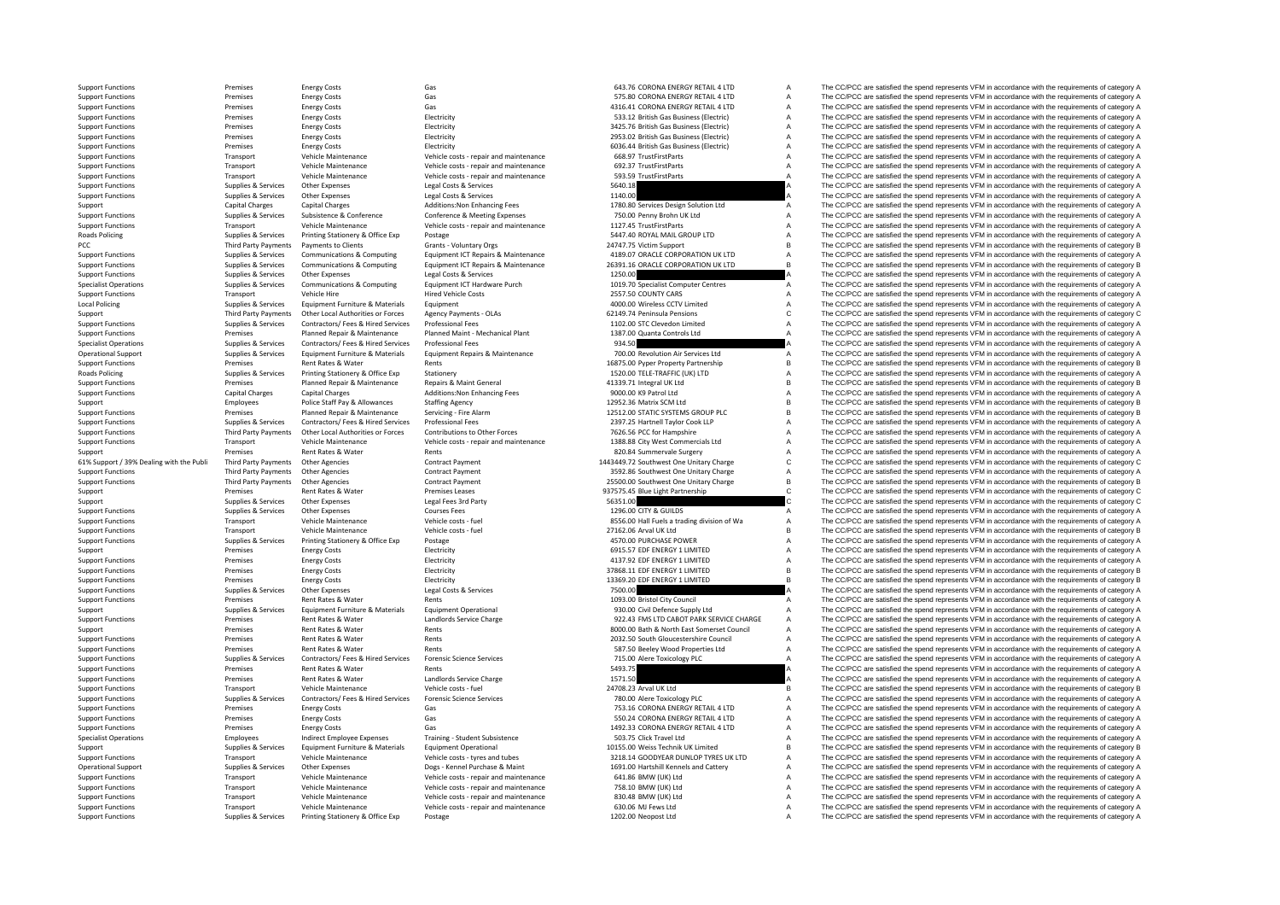**Roads Policing** PCC ThirdLocal Policing **Roads Policing** 61% Support / 39% Dealing with the Publi

| Premises                    | <b>Energy Costs</b>                | Gas                                    | 643.76 CORONA ENERGY RETAIL 4 LTD           | A | The CC/PCC are satisfied the spend represents VFM in accordance with the requirements of category A |
|-----------------------------|------------------------------------|----------------------------------------|---------------------------------------------|---|-----------------------------------------------------------------------------------------------------|
| Premises                    | <b>Energy Costs</b>                | Gas                                    | 575.80 CORONA ENERGY RETAIL 4 LTD           | Α | The CC/PCC are satisfied the spend represents VFM in accordance with the requirements of category A |
|                             |                                    |                                        |                                             |   |                                                                                                     |
| Premises                    | <b>Energy Costs</b>                | Gas                                    | 4316.41 CORONA ENERGY RETAIL 4 LTD          | Α | The CC/PCC are satisfied the spend represents VFM in accordance with the requirements of category A |
| Premises                    | <b>Energy Costs</b>                | Electricity                            | 533.12 British Gas Business (Electric)      | A | The CC/PCC are satisfied the spend represents VFM in accordance with the requirements of category A |
| Premises                    | <b>Energy Costs</b>                | Electricity                            | 3425.76 British Gas Business (Electric)     | A | The CC/PCC are satisfied the spend represents VFM in accordance with the requirements of category A |
| Premises                    | <b>Energy Costs</b>                | Electricity                            | 2953.02 British Gas Business (Electric)     | A | The CC/PCC are satisfied the spend represents VFM in accordance with the requirements of category A |
|                             |                                    |                                        |                                             |   |                                                                                                     |
| Premises                    | <b>Energy Costs</b>                | Electricity                            | 6036.44 British Gas Business (Electric)     | A | The CC/PCC are satisfied the spend represents VFM in accordance with the requirements of category A |
| Transport                   | Vehicle Maintenance                | Vehicle costs - repair and maintenance | 668.97 TrustFirstParts                      | A | The CC/PCC are satisfied the spend represents VFM in accordance with the requirements of category A |
| Transport                   | Vehicle Maintenance                | Vehicle costs - repair and maintenance | 692.37 TrustFirstParts                      | A | The CC/PCC are satisfied the spend represents VFM in accordance with the requirements of category A |
|                             |                                    |                                        |                                             |   |                                                                                                     |
| Transport                   | Vehicle Maintenance                | Vehicle costs - repair and maintenance | 593.59 TrustFirstParts                      | A | The CC/PCC are satisfied the spend represents VFM in accordance with the requirements of category A |
| Supplies & Services         | Other Expenses                     | Legal Costs & Services                 | 5640.18                                     |   | The CC/PCC are satisfied the spend represents VFM in accordance with the requirements of category A |
| Supplies & Services         | <b>Other Expenses</b>              | Legal Costs & Services                 | 1140.00                                     |   | The CC/PCC are satisfied the spend represents VFM in accordance with the requirements of category A |
|                             |                                    |                                        |                                             |   |                                                                                                     |
| <b>Capital Charges</b>      | <b>Capital Charges</b>             | Additions: Non Enhancing Fees          | 1780.80 Services Design Solution Ltd        | Α | The CC/PCC are satisfied the spend represents VFM in accordance with the requirements of category A |
| Supplies & Services         | Subsistence & Conference           | Conference & Meeting Expenses          | 750.00 Penny Brohn UK Ltd                   | A | The CC/PCC are satisfied the spend represents VFM in accordance with the requirements of category A |
| Transport                   | Vehicle Maintenance                | Vehicle costs - repair and maintenance | 1127.45 TrustFirstParts                     | A | The CC/PCC are satisfied the spend represents VFM in accordance with the requirements of category A |
| Supplies & Services         | Printing Stationery & Office Exp   | Postage                                | 5447.40 ROYAL MAIL GROUP LTD                | A | The CC/PCC are satisfied the spend represents VFM in accordance with the requirements of category A |
|                             |                                    |                                        |                                             |   |                                                                                                     |
| <b>Third Party Payments</b> | <b>Payments to Clients</b>         | Grants - Voluntary Orgs                | 24747.75 Victim Support                     | B | The CC/PCC are satisfied the spend represents VFM in accordance with the requirements of category B |
| Supplies & Services         | Communications & Computing         | Equipment ICT Repairs & Maintenance    | 4189.07 ORACLE CORPORATION UK LTD           | A | The CC/PCC are satisfied the spend represents VFM in accordance with the requirements of category A |
| Supplies & Services         | Communications & Computing         | Equipment ICT Repairs & Maintenance    | 26391.16 ORACLE CORPORATION UK LTD          | B | The CC/PCC are satisfied the spend represents VFM in accordance with the requirements of category B |
|                             |                                    |                                        |                                             |   | The CC/PCC are satisfied the spend represents VFM in accordance with the requirements of category A |
| Supplies & Services         | Other Expenses                     | Legal Costs & Services                 | 1250.00                                     |   |                                                                                                     |
| Supplies & Services         | Communications & Computing         | Equipment ICT Hardware Purch           | 1019.70 Specialist Computer Centres         | A | The CC/PCC are satisfied the spend represents VFM in accordance with the requirements of category A |
| Transport                   | Vehicle Hire                       | <b>Hired Vehicle Costs</b>             | 2557.50 COUNTY CARS                         | A | The CC/PCC are satisfied the spend represents VFM in accordance with the requirements of category A |
| Supplies & Services         | Equipment Furniture & Materials    | Equipment                              | 4000.00 Wireless CCTV Limited               | A | The CC/PCC are satisfied the spend represents VFM in accordance with the requirements of category A |
|                             |                                    |                                        |                                             |   |                                                                                                     |
| Third Party Payments        | Other Local Authorities or Forces  | Agency Payments - OLAs                 | 62149.74 Peninsula Pensions                 | Ċ | The CC/PCC are satisfied the spend represents VFM in accordance with the requirements of category C |
| Supplies & Services         | Contractors/ Fees & Hired Services | <b>Professional Fees</b>               | 1102.00 STC Clevedon Limited                | A | The CC/PCC are satisfied the spend represents VFM in accordance with the requirements of category A |
| Premises                    | Planned Repair & Maintenance       | Planned Maint - Mechanical Plant       | 1387.00 Quanta Controls Ltd                 | A | The CC/PCC are satisfied the spend represents VFM in accordance with the requirements of category A |
|                             |                                    |                                        |                                             |   |                                                                                                     |
| Supplies & Services         | Contractors/ Fees & Hired Services | <b>Professional Fees</b>               | 934.50                                      |   | The CC/PCC are satisfied the spend represents VFM in accordance with the requirements of category A |
| Supplies & Services         | Equipment Furniture & Materials    | Equipment Repairs & Maintenance        | 700.00 Revolution Air Services Ltd          | Α | The CC/PCC are satisfied the spend represents VFM in accordance with the requirements of category A |
| Premises                    | <b>Rent Rates &amp; Water</b>      | Rents                                  | 16875.00 Pyper Property Partnership         | B | The CC/PCC are satisfied the spend represents VFM in accordance with the requirements of category B |
|                             |                                    | Stationery                             | 1520.00 TELE-TRAFFIC (UK) LTD               | Α | The CC/PCC are satisfied the spend represents VFM in accordance with the requirements of category A |
| Supplies & Services         | Printing Stationery & Office Exp   |                                        |                                             |   |                                                                                                     |
| Premises                    | Planned Repair & Maintenance       | Repairs & Maint General                | 41339.71 Integral UK Ltd                    | B | The CC/PCC are satisfied the spend represents VFM in accordance with the requirements of category B |
| <b>Capital Charges</b>      | <b>Capital Charges</b>             | Additions: Non Enhancing Fees          | 9000.00 K9 Patrol Ltd                       | А | The CC/PCC are satisfied the spend represents VFM in accordance with the requirements of category A |
| Employees                   | Police Staff Pay & Allowances      | <b>Staffing Agency</b>                 | 12952.36 Matrix SCM Ltd                     | в | The CC/PCC are satisfied the spend represents VFM in accordance with the requirements of category B |
|                             |                                    |                                        |                                             |   |                                                                                                     |
| Premises                    | Planned Repair & Maintenance       | Servicing - Fire Alarm                 | 12512.00 STATIC SYSTEMS GROUP PLC           | в | The CC/PCC are satisfied the spend represents VFM in accordance with the requirements of category B |
| Supplies & Services         | Contractors/ Fees & Hired Services | Professional Fees                      | 2397.25 Hartnell Taylor Cook LLP            | Α | The CC/PCC are satisfied the spend represents VFM in accordance with the requirements of category A |
| Third Party Payments        | Other Local Authorities or Forces  | Contributions to Other Forces          | 7626.56 PCC for Hampshire                   | A | The CC/PCC are satisfied the spend represents VFM in accordance with the requirements of category A |
|                             | Vehicle Maintenance                |                                        |                                             |   |                                                                                                     |
| Transport                   |                                    | Vehicle costs - repair and maintenance | 1388.88 City West Commercials Ltd           | A | The CC/PCC are satisfied the spend represents VFM in accordance with the requirements of category A |
| Premises                    | Rent Rates & Water                 | Rents                                  | 820.84 Summervale Surgery                   | A | The CC/PCC are satisfied the spend represents VFM in accordance with the requirements of category A |
|                             |                                    |                                        |                                             |   |                                                                                                     |
|                             |                                    |                                        |                                             |   |                                                                                                     |
| Third Party Payments        | Other Agencies                     | Contract Payment                       | 1443449.72 Southwest One Unitary Charge     | C | The CC/PCC are satisfied the spend represents VFM in accordance with the requirements of category C |
| Third Party Payments        | <b>Other Agencies</b>              | Contract Payment                       | 3592.86 Southwest One Unitary Charge        | A | The CC/PCC are satisfied the spend represents VFM in accordance with the requirements of category A |
| Third Party Payments        | Other Agencies                     | Contract Payment                       | 25500.00 Southwest One Unitary Charge       | В | The CC/PCC are satisfied the spend represents VFM in accordance with the requirements of category B |
| Premises                    | Rent Rates & Water                 | Premises Leases                        |                                             | c |                                                                                                     |
|                             |                                    |                                        | 937575.45 Blue Light Partnership            |   | The CC/PCC are satisfied the spend represents VFM in accordance with the requirements of category C |
| Supplies & Services         | Other Expenses                     | Legal Fees 3rd Party                   | 56351.00                                    |   | The CC/PCC are satisfied the spend represents VFM in accordance with the requirements of category C |
| Supplies & Services         | Other Expenses                     | <b>Courses Fees</b>                    | 1296.00 CITY & GUILDS                       | Α | The CC/PCC are satisfied the spend represents VFM in accordance with the requirements of category A |
| Transport                   | Vehicle Maintenance                | Vehicle costs - fuel                   | 8556.00 Hall Fuels a trading division of Wa | A | The CC/PCC are satisfied the spend represents VFM in accordance with the requirements of category A |
|                             |                                    |                                        |                                             |   |                                                                                                     |
| Transport                   | Vehicle Maintenance                | Vehicle costs - fuel                   | 27162.06 Arval UK Ltd                       | в | The CC/PCC are satisfied the spend represents VFM in accordance with the requirements of category B |
| Supplies & Services         | Printing Stationery & Office Exp   | Postage                                | 4570.00 PURCHASE POWER                      | Α | The CC/PCC are satisfied the spend represents VFM in accordance with the requirements of category A |
| Premises                    | <b>Energy Costs</b>                | Electricity                            | 6915.57 EDF ENERGY 1 LIMITED                | A | The CC/PCC are satisfied the spend represents VFM in accordance with the requirements of category A |
| Premises                    | <b>Energy Costs</b>                | Electricity                            | 4137.92 EDF ENERGY 1 LIMITED                | A | The CC/PCC are satisfied the spend represents VFM in accordance with the requirements of category A |
|                             |                                    |                                        |                                             |   |                                                                                                     |
| Premises                    | <b>Energy Costs</b>                | Electricity                            | 37868.11 EDF ENERGY 1 LIMITED               | в | The CC/PCC are satisfied the spend represents VFM in accordance with the requirements of category B |
| Premises                    | <b>Energy Costs</b>                | Electricity                            | 13369.20 EDF ENERGY 1 LIMITED               | В | The CC/PCC are satisfied the spend represents VFM in accordance with the requirements of category B |
| Supplies & Services         | Other Expenses                     | Legal Costs & Services                 | 7500.00                                     |   | The CC/PCC are satisfied the spend represents VFM in accordance with the requirements of category A |
| Premises                    |                                    | Rents                                  |                                             |   |                                                                                                     |
|                             | Rent Rates & Water                 |                                        | 1093.00 Bristol City Council                | Α | The CC/PCC are satisfied the spend represents VFM in accordance with the requirements of category A |
| Supplies & Services         | Equipment Furniture & Materials    | <b>Equipment Operational</b>           | 930.00 Civil Defence Supply Ltd             | Α | The CC/PCC are satisfied the spend represents VFM in accordance with the requirements of category A |
| Premises                    | Rent Rates & Water                 | Landlords Service Charge               | 922.43 FMS LTD CABOT PARK SERVICE CHARGE    | A | The CC/PCC are satisfied the spend represents VFM in accordance with the requirements of category A |
| Premises                    | Rent Rates & Water                 | Rents                                  | 8000.00 Bath & North East Somerset Council  | Α |                                                                                                     |
|                             |                                    |                                        |                                             |   | The CC/PCC are satisfied the spend represents VFM in accordance with the requirements of category A |
| Premises                    | Rent Rates & Water                 | Rents                                  | 2032.50 South Gloucestershire Council       | A | The CC/PCC are satisfied the spend represents VFM in accordance with the requirements of category A |
| Premises                    | Rent Rates & Water                 | Rents                                  | 587.50 Beeley Wood Properties Ltd           | A | The CC/PCC are satisfied the spend represents VFM in accordance with the requirements of category A |
| Supplies & Services         | Contractors/ Fees & Hired Services | <b>Forensic Science Services</b>       | 715.00 Alere Toxicology PLC                 |   | The CC/PCC are satisfied the spend represents VFM in accordance with the requirements of category A |
|                             |                                    |                                        |                                             |   |                                                                                                     |
| Premises                    | Rent Rates & Water                 | Rents                                  | 5493.75                                     |   | The CC/PCC are satisfied the spend represents VFM in accordance with the requirements of category A |
| Premises                    | Rent Rates & Water                 | Landlords Service Charge               | 1571.50                                     |   | The CC/PCC are satisfied the spend represents VFM in accordance with the requirements of category A |
| Transport                   | Vehicle Maintenance                | Vehicle costs - fuel                   | 24708.23 Arval UK Ltd                       | в | The CC/PCC are satisfied the spend represents VFM in accordance with the requirements of category B |
| Supplies & Services         | Contractors/ Fees & Hired Services | <b>Forensic Science Services</b>       | 780.00 Alere Toxicology PLC                 | A | The CC/PCC are satisfied the spend represents VFM in accordance with the requirements of category A |
|                             |                                    |                                        |                                             |   |                                                                                                     |
| Premises                    | <b>Energy Costs</b>                | Gas                                    | 753.16 CORONA ENERGY RETAIL 4 LTD           | Α | The CC/PCC are satisfied the spend represents VFM in accordance with the requirements of category A |
| Premises                    | <b>Energy Costs</b>                | Gas                                    | 550.24 CORONA ENERGY RETAIL 4 LTD           | Α | The CC/PCC are satisfied the spend represents VFM in accordance with the requirements of category A |
| Premises                    | <b>Energy Costs</b>                | Gas                                    | 1492.33 CORONA ENERGY RETAIL 4 LTD          | A | The CC/PCC are satisfied the spend represents VFM in accordance with the requirements of category A |
|                             |                                    |                                        |                                             |   |                                                                                                     |
| Employees                   | <b>Indirect Employee Expenses</b>  | Training - Student Subsistence         | 503.75 Click Travel Ltd                     | Α | The CC/PCC are satisfied the spend represents VFM in accordance with the requirements of category A |
| Supplies & Services         | Equipment Furniture & Materials    | <b>Equipment Operational</b>           | 10155.00 Weiss Technik UK Limited           | в | The CC/PCC are satisfied the spend represents VFM in accordance with the requirements of category B |
| Transport                   | Vehicle Maintenance                | Vehicle costs - tyres and tubes        | 3218.14 GOODYEAR DUNLOP TYRES UK LTD        | Α | The CC/PCC are satisfied the spend represents VFM in accordance with the requirements of category A |
| Supplies & Services         | <b>Other Expenses</b>              | Dogs - Kennel Purchase & Maint         | 1691.00 Hartshill Kennels and Cattery       | A | The CC/PCC are satisfied the spend represents VFM in accordance with the requirements of category A |
|                             |                                    |                                        |                                             | A |                                                                                                     |
| Transport                   | Vehicle Maintenance                | Vehicle costs - repair and maintenance | 641.86 BMW (UK) Ltd                         |   | The CC/PCC are satisfied the spend represents VFM in accordance with the requirements of category A |
| Transport                   | Vehicle Maintenance                | Vehicle costs - repair and maintenance | 758.10 BMW (UK) Ltd                         | Α | The CC/PCC are satisfied the spend represents VFM in accordance with the requirements of category A |
| Transport                   | Vehicle Maintenance                | Vehicle costs - repair and maintenance | 830.48 BMW (UK) Ltd                         | Α | The CC/PCC are satisfied the spend represents VFM in accordance with the requirements of category A |
| Transport                   | Vehicle Maintenance                | Vehicle costs - repair and maintenance | 630.06 MJ Fews Ltd                          | Α | The CC/PCC are satisfied the spend represents VFM in accordance with the requirements of category A |
| Supplies & Services         | Printing Stationery & Office Exp   | Postage                                | 1202.00 Neopost Ltd                         | A | The CC/PCC are satisfied the spend represents VFM in accordance with the requirements of category A |

Support Functions Premises Energy Costs Gas Gas Gas Functions Gas Functions Gas Gas 643.76 CORONA ENERGY RETAIL 4 LTD A The CC/PCC are satisfied the spend represents VFM in accordance with the requirements of category A Support Functions Premises Energy Costs Gas Gas Support Functions and the CC/PCC are satisfied the spend represents VFM in accordance with the requirements of category A Support Functions Contrast Gas and CORONALES Gas 4316.41 CORONALES CONTRAST CORONALES CONTRAST CONTRAST CONTRAST CONTRAST CONTRAST CONTRAST CONTRAST CONTRAST CONTRAST CONTRAST CONTRAST CONTRAST CONTRAST CONTRAST CONTRAST C Support Functions Premises Energy Costs Energy Costs Electricity Electricity Electricity Electricity and the Same Support Electricity Support Functions and represents VFM in accordance with the requirements of category A S Premises Energy Costs Electricity Electricity 3425.76 British Gas Business (Electricity 3425.76 British Gas Business (Electricity A The CC/PCC are satisfied the spend represents VFM in accordance with the requirements of c Support Functions Premises Energy Costs Electricity Electricity **Electricity** 2953.02 British Gas Business (Electricity A The CC/PCC are satisfied the spend represents VFM in accordance with the requirements of category A Support Functions Premises Energy Costs Electricity 6036.44 British Gas Business Electricity 6036.44 British Gas Business (Electric) A The CC/PCC are satisfied the spend represents VFM in accordance with the requirements o Vehicle Costs - repair and maintenance 668.97 TrustFirstParts A The CC/PCC are satisfied the spend represents VFM in accordance with the requirements of category A Vehicle costs - repair and maintenance 668.97 TrustFirstPa Support Functions Transport Vehicle Maintenance Vehicle costs ‐ repair and maintenance 692.37 TrustFirstParts A The CC/PCC are satisfied the spend represents VFM in accordance with the requirements of category A Support Functions Transport Vehicle Maintenance Vehicle costs ‐ repair and maintenance 593.59 TrustFirstParts A The CC/PCC are satisfied the spend represents VFM in accordance with the requirements of category A Support Functions Supplies & Services Other Expenses Legal Costs & Services Legal Costs Corrections Legal Costs & Services Support Functions and the spend represents VFM in accordance with the requirements of category A Su Support Functions Supplies & Services Other Expenses Legal Costs & Services Legal Costs & Services Legal Costs & Services 2003 A The CC/PCC are satisfied the spend represents VFM in accordance with the requirements of cate Support Capital Charges Capital Charges Capital Charges Additions:Non Enhancing Fees 1780.80 Services Design Solution Ltd A The CC/PCC are satisfied the spend represents VFM in accordance with the requirements of category The CC/PCC are satisfied the spend represents VFM in accordance with the requirements of category A Support Functions Transport Vehicle Maintenance Vehicle Costs - repair and maintenance 1127.45 TrustFirstParts A The CC/PCC are satisfied the spend represents VFM in accordance with the requirements of category A Supplies & Services Printing Stationery & Office Exp Postage States and States of the States of the States of Content of category A States and States and States and States and States and States and States and States and St Party Payments Payments to Clients Grants ‐ Voluntary Orgs 24747.75 Victim Support B The CC/PCC are satisfied the spend represents VFM in accordance with the requirements of category B Support Functions Supplies & Services Communications & Computing Equipment ICT Repairs & Maintenance 4189.07 ORACLE CORPORATION UKLITE A The CC/PCC are satisfied the spend represents VFM in accordance with the requirements The CC/PCC are satisfied the spend represents VFM in accordance with the requirements of category B Support Functions Supplies & Services Other Expenses Legal Costs & Services Legal Costs & Services Legal Costs & Services 1250.00 A The CC/PCC are satisfied the spend represents VFM in accordance with the requirements of c Supplies & Services Communications & Computing Equipment ICT Hardware Purch 1019.70 Specialist Computer Centres A The CC/PCC are satisfied the spend represents VFM in accordance with the requirements of category A Support Functions Transport Vehicle Hire Hired Vehicle Costs 2557.50 COUNTY CARS A The COPCC are satisfied the spend represents VFM in accordance with the requirements of category A change of the costs and the requirements Policing Supplies & Services Equipment Furniture & Materials Equipment Equipment Equipment A 4000.00 Wireless CCTV Limited A The CC/PCC are satisfied the spend represents VFM in accordance with the requirements of category Support Third Party Payments Other Local Authorities or Forces Agency Payments - OLAs 62149.74 Peninsula Pensions C The CC/PCC are satisfied the spend represents VFM in accordance with the requirements of category C<br>Contra The CC/PCC are satisfied the spend represents VFM in accordance with the requirements of category A Support Functions Premises Planned Repair & Maintenance Planned Maint - Mechanical Plant 1387.00 Quanta Controls Ltd A The CC/PCC are satisfied the spend represents VFM in accordance with the requirements of category A Spe Specialist Operations Supplies & Supplies & Services Contractors/ Fees & Hired Services Professional Fees Professional Fees 934.50 934.50 A The CC/PCC are satisfied the spend represents VFM in accordance with the requireme Equipment Repairs & Maintenance 200.00 Revolution Air Services Ltd The CC/PCC are satisfied the spend represents VFM in accordance with the requirements of category A<br>Pent Back Material and the could pent to the pent of th Support Functions and Rent Rates Rent Rates Rent Rents Rent Rent Rates Rent Rents 16875.00 Pyper Property Partnership B The CC/PCC are satisfied the spend represents VFM in accordance with the requirements of category B Th Policing Supplies & Supplies & Services Printing Stationery & Office Exp Stationery Stationery Stationery Stationery Stationery 1520.00 TELE-TRAFFIC (UK) LTD A The CC/PCC are satisfied the spend represents VFM in accordanc Support Functions Premises Planned Repair & Maintenance Repairs & Maint General A1339.71 Integral UK Ltd B The CC/PCC are satisfied the spend represents VFM in accordance with the requirements of category B Additions: Non Support Functions:Non Enhancing Fees 1900.00 Matrol Ltd A The CC/PCC are satisfied the spend represents VFM in accordance with the requirements of category A The Critical Charges Capital Charges Capital Charges Additions:N Support Employees Police Staff Pay & Allowances Staffing Agency Staffing Agency and the matrix COM COM COM DESCAPT AGENC AGENC AGENC AGENC AGENC AGENC AGENC AGENC AGENC AGENC AGENC AGENC AGENC AGENC AGENC AGENC AGENC AGENC Premises Planned Repair & Maintenance Servicing - Fire Alarm 12512.00 STATIC SYSTEMS GROUP PLC B The CC/PCC are satisfied the spend represents VFM in accordance with the requirements of category B Support Functions Supplies & Services Contractors/Fees & Hired Services Professional Fees examples of the The COPCC are satisfied the spend represents VFM in accordance with the requirements of category A<br>Support Functions Sunnort Eunctions and Party Payments Other Incal Authorities or Forces Contributions to Other Forces 7526 56 PC for Hampshire 36 The COPCC are satisfied the spend represents VFM in accordance with the requirements of categ Support Functions Transport Vehicle Maintenance Vehicle costs repair and maintenance 1388.88 City West Commercials Ltd A The CC/PCC are satisfied the spend represents VFM in accordance with the requirements of category A Support Premises Rent Rates & Water Rents Rents 820.84 Summervale Surgery A The CC/PCC are satisfied the spend represents VFM in accordance with the requirements of category A Third Party Payments Other Agencies Contract Payment Contract Payment 1443449.72 Southwest One Unitary Charge CCC/PCC are satisfied the spend represents VFM in accordance with the requirements of category C Support Functions Third Party Payments Other Agencies Contract Payment 3592.86 Southwest One Unitary Charge A The CC/PCC are satisfied the spend represents VFM in accordance with the requirements of category A Support Functions Third Party Payments Other Agencies Contract Payment Contract Payment 25500.00 Southwest One Unitary Charge B The CC/PCC are satisfied the spend represents VFM in accordance with the requirements of categ Support Premises Rent Rates & Water Premises Premises Leases 937575.45 Blue Light Partnership C The CC/PCC are satisfied the spend represents VFM in accordance with the requirements of category C Support Supplies & Services Other Expenses Legal Fees 3rd Party 56351.00 Support The CC/PCC are satisfied the spend represents VFM in accordance with the requirements of category C Support Functions Supplies & Services Other Expenses Courses Fees Courses Fees Courses Courses Courses Courses Fees 1296.00 CITY & GUILDS A The CC/PCC are satisfied the spend represents VFM in accordance with the requireme The CC/PCC are satisfied the spend represents VFM in accordance with the requirements of category A Support Functions Transport Vehicle Maintenance Vehicle costs - fuel 27162.06 Arval UK Ltd B The CC/PCC are satisfied the spend represents VFM in accordance with the requirements of category B Vehicle costs - fuel Vehicle Support Functions Supplies & Services Printing Stationery & Office Exp Postage 4570.00 PURCHASE POWER 4570.00 PURCHASE POWER A The CC/PCC are satisfied the spend represents VFM in accordance with the requirements of catego Support Premises Energy Costs Electricity Electricity Electricity Electricity Electricity and the spend of the COVID-CLIMITED A The COPCC are satisfied the spend represents VFM in accordance with the requirements of catego Support Functions Premises Energy Costs Electricity Electricity Electricity Electricity Electricity and the spend of the COV and the spend represents VFM in accordance with the requirements of category B<br>A Support Function The CC/PCC are satisfied the spend represents VFM in accordance with the requirements of category B Support Functions Premises Energy Costs Electricity Electricity Electricity 13369.20 EDF ENERGY 1 LIMITED B The CC/PCC are satisfied the spend represents VFM in accordance with the requirements of category B Support Functions Supplies & Services Other Expenses Legal Costs & Services Legal Costs Costs Costs Costs 2001<br>Support Functions and the spend of the spend of the spend represents VFM in accordance with the requirements of Support Functions Premises Rent Rates & Water Rents Rents Rents Rents Rents Rents Rents Rents Rents Rents Rents Rents Rents Rents 1093.00 Bristol City Council A The CC/PCC are satisfied the spend represents VFM in accordan Support Supplies & Services Equipment Furniture & Materials Equipment Operational 930.00 Civil Defence Supply Ltd A The CC/PCC are satisfied the spend represents VFM in accordance with the requirements of category A The CO Support Functions Contract Rent Rates Rent Rates Rent Rates Rent Rates and COLOGIC CHARGE A The CC/PCC are satisfied the spend represents VFM in accordance with the requirements of category A Support Premises Rent Rates & Water Rents Rents Rents Rents 8000.00 Bath & North East Somerset Council A The CC/PCC are satisfied the spend represents VFM in accordance with the requirements of category A Support Functions Premises Rent Rates & Water Rents Rents Rents Rents Rents Rents Rents 2032.50 South Gloucestershire Council A The CC/PCC are satisfied the spend represents VFM in accordance with the requirements of categ Support Functions Premises Rent Rates & Water Rents Rents Rents Rents Rents Rents Rents Rents Rents Rents Rents Rents Rents and the Support Functions A The CC/PCC are satisfied the spend represents VFM in accordance with t The CC/PCC are satisfied the spend represents VFM in accordance with the requirements of category A Support Functions Support Rent Rent Rents Rents Rents Rents Control CALL The CC/PCC are satisfied the spend represents VFM in accordance with the requirements of category A Support Functions Premises Rent Rates & Water Landlords Service Charge 1571.50 A The CC/PCC are satisfied the spend represents VFM in accordance with the requirements of category A Support Functions and the requirements of The CC/PCC are satisfied the spend represents VFM in accordance with the requirements of category B Supplies & Supplies & Supplies & Supplies Contractors/ Fees & Hired Services Forensic Science Services Contractors Forensic Science Services Contractors of Contractors of Contractors of Contractors Forensic Science Service Support Functions Premises Energy Costs Gas Gas Gas 753.16 CORONA ENERGY RETAIL 4 LTD A The CC/PCC are satisfied the spend represents VFM in accordance with the requirements of category A Support Functions and the requirem The CC/PCC are satisfied the spend represents VFM in accordance with the requirements of category A Support Functions Premises Energy Costs Gas Gas Casts Gas 1492.33 CORONA ENERGY RETAIL 4 LTD A The CC/PCC are satisfied the spend represents VFM in accordance with the requirements of category A Specialist Operations Employees Indirect Employee Expenses Training - Student Subsistence 503.75 Click Travel Ltd A The CC/PCC are satisfied the spend represents VFM in accordance with the requirements of category A Subsis Support Supplies & Services Equipment Furniture & Materials Equipment Operational 10155.00 Weiss Technik UK Limited B The CC/PCC are satisfied the spend represents VFM in accordance with the requirements of category B Support Functions Transport Vehicle Maintenance Vehicle costs – tyres and tubes 3218.14 GOODYEAR DUNLOP TYRES UK LTD A The CC/PCC are satisfied the spend represents VFM in accordance with the requirements of category A Onerational Support of the Experience Supplies & Services Other Expenses Documents of Cheese Purchase & Maint 1691.00 Hartshill Kennels and Cattery and The CC/PCC are satisfied the spend represents VFM in accordance with t Support Functions Transport Vehicle Maintenance Vehicle costs - repair and maintenance 641.86 BMW (UK) Ltd A The CC/PCC are satisfied the spend represents VFM in accordance with the requirements of category A The Creative Support Functions Transport Vehicle Maintenance Vehicle costs - repair and maintenance 758.10 BMW (UK) Ltd A The CC/PCC are satisfied the spend represents VFM in accordance with the requirements of category A Support Functions Transport Vehicle Maintenance Vehicle costs - repair and maintenance 830.48 BMW (UK) Ltd A The CC/PCC are satisfied the spend represents VFM in accordance with the requirements of category A Support Functions Transport Vehicle Maintenance Vehicle costs - repair and maintenance 630.06 MJ Fews Ltd A The CC/PCC are satisfied the spend represents VFM in accordance with the requirements of category A Support Functi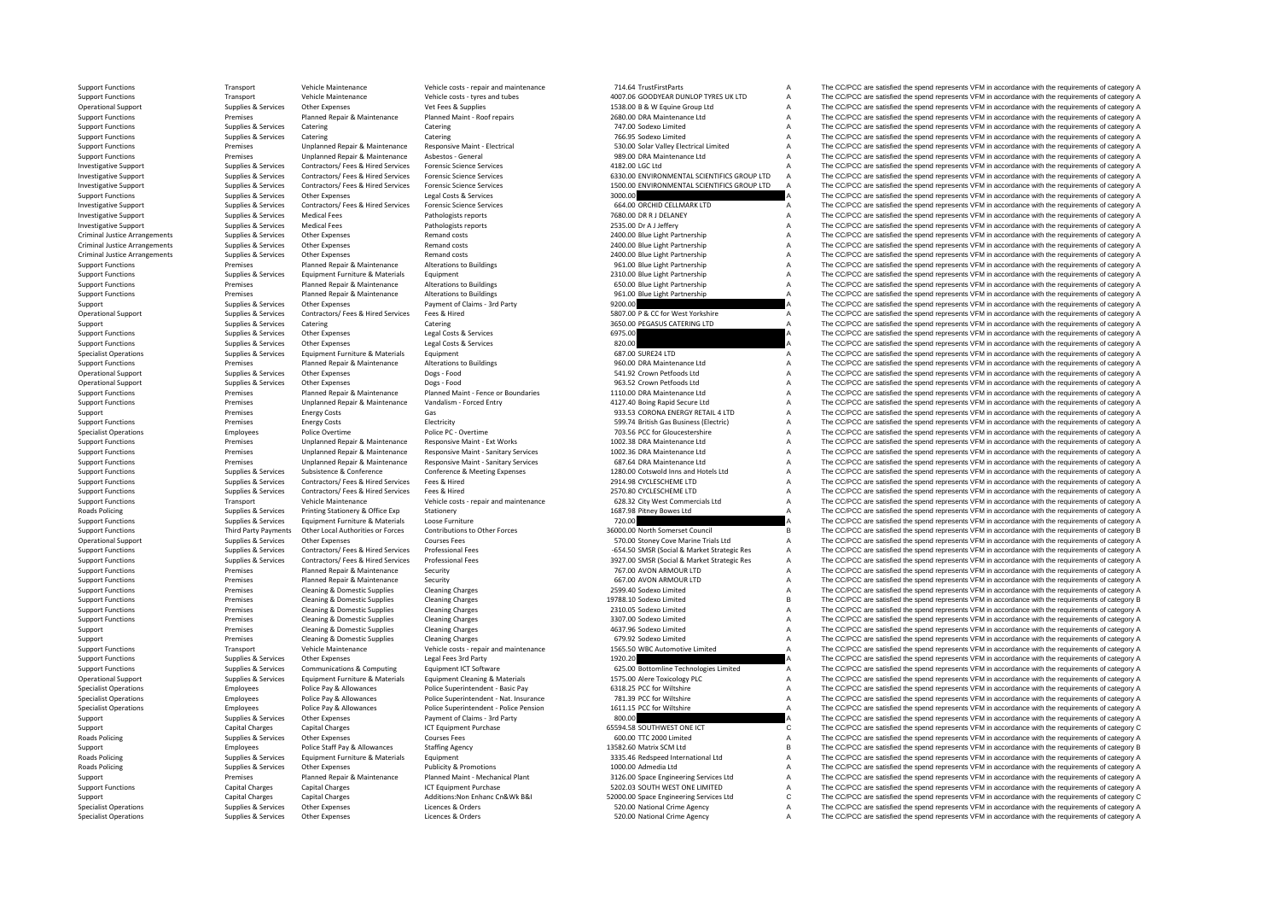Criminal JusticeCriminal JusticeCriminal JusticeRoads Policing Roads Policine **Roads Policing Roads Policing** 

Specialist Operations Supplies & Services Other Expenses Licences & Orders Licences & Orders 520.00 National Crime Agency A The CC/PCC are satisfied the spend represents VFM in accordance with the requirements of category

Support Functions Transport Vehicle Maintenance Vehicle costs - repair and maintenance 714.64 TrustFirstParts<br>Transport Vehicle Maintenance Vehicle Costs - tyres and tubes A The CC/PCC are satisfied the soend represents VF Support Functions Transport Vehicle Maintenance Vehicle costs – tyres and tubes 4007.06 GOODYEAR DUNLOP TYRES UK LTD A The CC/PCC are satisfied the spend represents VFM in accordance with the requirements of category A Sup Operational Support Supplies Supplies Category Other Expenses Vet Fees & Supplies 1538.00 B & W Equine Group Ltd A The CC/PCC are satisfied the spend represents VEM in accordance with the requirements of category A The CC/ Support Functions Premises Planned Repair & Maintenance Planned Maint - Roof repairs 2680.00 DRA Maintenance Ltd A The CC/PCC are satisfied the spend represents VFM in accordance with the requirements of category A Support Support Functions Catering Catering Catering Catering Catering Catering Catering Catering Catering Catering Catering Catering Catering Catering Catering Catering Catering Catering Catering Catering Catering Catering Catego Support Functions Supplies & Services Catering Catering Catering Catering Catering Catering Catering Catering Catering 766.95 Sodexo Limited A The CC/PCC are satisfied the spend represents VFM in accordance with the requir Support Functions of the contract of the contract of the contract of the contract of the contract of the contract of the contract of the contract of the contract of the contract of the contract of the contract of the contr The CC/PCC are satisfied the spend represents VFM in accordance with the requirements of category A Investigative Support Supplies & Supplies & Services Contractors/ Fees & Hired Services Forensic Science Services 4182.00 LGC Ltd A The CC/PCC are satisfied the spend represents VFM in accordance with the requirements of c Investigative Support Supplies & Services Contractors/ Fees & Hired Services Forensic Science Services 6330.00 ENVIRONMENTAL SCIENTIFICS GROUP LTD A The CC/PCC are satisfied the spend represents VFM in accordance with the requirements of category A Investigative Support Electrophenic Supplies & Supplies & Supplies & Supplies & Supplies & Supplies & Supplies & Supplies & Support Contractors/ Fees & Hired Services Forensic Science Services and the support Functions The Support Functions Supplies & Services Other Expenses Legal Costs & Services Legal Costs & Services Legal Costs & Services 3000.00 A The CC/PCC are satisfied the spend represents VFM in accordance with the requirements of c Investigative Support Supplies & Services Contractors/ Fees & Hired Services Forensic Science Services 664.00 ORCHID CELLMARK LTD A The CC/PCC are satisfied the spend represents VFM in accordance with the requirements of category A A The CC/PCC are satisfied the spend represents VFM in accordance with the requirements of category A Investigative Support Support Support Support Supportes Medical Fees Pathologists reports Pathologists reports 2535.00 Dr A J Leffery A The CC/PCC are satisfied the spend represents VFM in accordance with the requirements Supplies & Services Other Expenses Remand costs Remand costs 2400.00 Blue Light Partnership A The CC/PCC are satisfied the spend represents VFM in accordance with the requirements of category A Supplies & Services Other Expenses 2010. A Remand costs 2400.00 Blue Light Partnership A The CC/PCC are satisfied the spend represents VFM in accordance with the requirements of category A Arrangements Supplies Arrangements Supplies Arrangements of category A The CC/PCC are satisfied the spend represents VFM in accordance with the requirements of category A The CC/PCC are satisfied the spend represents VFM i Support Functions Premises Planned Repair & Maintenance Alterations to Buildings 961.00 Blue Light Partnership A The CC/PCC are satisfied the spend represents VFM in accordance with the requirements of category A Support F Support Functions Supplies & Services Equipment Furniture & Materials Equipment Companies Equipment 2310.00 Blue Light Partnership A The CC/PCC are satisfied the spend represents VFM in accordance with the requirements of Support Functions Premises Planned Repair & Maintenance Alterations to Buildings 650.00 Blue Light Partnership A The CC/PCC are satisfied the spend represents VFM in accordance with the requirements of category A Support Functions Premises Planned Repair & Maintenance Alterations to Buildings 961.00 Blue Light Partnership A The CC/PCC are satisfied the spend represents VFM in accordance with the requirements of category A Support Supplies & Services Other Expenses Payment of Claims - 3rd Party Payment of Claims - 3rd Party 9200.00 BCC for West Yorkshire A The CC/PCC are satisfied the spend represents VFM in accordance with the requirements Opplies & Services Contractors/ Fees & Hired Services Fees & Hired Services Fees & Hired Services Fees & Hired Support Support Support Support Support Support A The CC/PCC are satisfied the spend represents VFM in accordan Support Supplies & Services Catering Catering Catering Catering Catering Catering Catering Catering Catering S550.00 PEGASUS CATERING LTD A The CC/PCC are satisfied the spend represents VFM in accordance with the requireme Support Functions Supplies & Services Other Expenses Legal Costs & Services Legal Costs Corrections Category A The CC/PCC are satisfied the spend represents VFM in accordance with the requirements of category A Support Fun Support Functions Supplies & Services Other Expenses Legal Costs & Services Legal Costs & Services Legal Costs & Services and Costs & Services and Costs & Services and Costs and Costs and Costs and Costs and Costs and Cost Equipment Furniture & Materials Equipment<br>  $\frac{1}{2}$  Contains a Service of Dividence and the spending of the spending of the spending of the spend represents VFM in accordance with the requirements of category A<br>
The CC/PC Support Functions Premises Planned Repair & Maintenance Alterations to Buildings 960.00 DRA Maintenance Ltd A The CC/PCC are satisfied the spend represents VFM in accordance with the requirements of category A Degs-Food DR Operational Support Supplies & Services Other Expenses Dogs - Food Dogs - Food Support Dogs - Food Support Dogs - Food Support Support Support A The CC/PCC are satisfied the spend represents VFM in accordance with the requ Operational Support Support Support of the CC/PCC are satisfied the spend represents VFM in accordance with the requirements of category A Support Support Support Support Support of the Support of the Support of the Suppor Support Functions Premises Planned Repair & Maintenance Planned Maint - Fence or Boundaries 1110.00 DRA Maintenance Ltd A The CC/PCC are satisfied the spend represents VFM in accordance with the requirements of category A Support Functions Premises Unplanned Repair & Maintenance Vandalism ‐ Forced Entry 4127.40 Boing Rapid Secure Ltd A The CC/PCC are satisfied the spend represents VFM in accordance with the requirements of category A Support Premises Energy Costs Gas Gas Gas Support Base of the CC/PCC are satisfied the spend represents VFM in accordance with the requirements of category A Support Functions Premises Energy Costs Electricity Electricity Electricity Electricity 599.74 British Gas Business (Electricity A The CC/PCC are satisfied the spend represents VFM in accordance with the requirements of ca Specialist Operations Specialist Operations Police Overtime Police PC · Overtime 703.56 PCC for Gloucestershire A The CC/PCC are satisfied the spend represents VFM in accordance with the requirements of category A Support Functions Premises Premises Unplanned Repair & Maintenance Maint – Ext Works 1002.38 DRA Maintenance Ltd A The CC/PCC are satisfied the spend represents VFM in accordance with the requirements of category A Support Functions Premises Unplanned Repair & Maintenance Responsive Maint – Sanitary Services 1002.36 DRA Maintenance Ltd A The CC/PCC are satisfied the spend represents VFM in accordance with the requirements of category Premises Unplanned Repair & Maintenance Responsive Maint - Sanitary Services 687.64 DRA Maintenance Ltd A The CC/PCC are satisfied the spend represents VFM in accordance with the requirements of category A Supplies & Supplies & Supplies & Conference & Conference Conference Meeting Expenses and the company and the spend and the company and the company and the company and the company and the company and the company and the com Support Functions Supplies & Supplies & Services Contractors/ Fees & Hired Services Fees & Hired Services Fees & Hired Support Fees & Hired 2914.98 CYCLESCHEME LTD A The CC/PCC are satisfied the spend represents VFM in acc The CC/PCC are satisfied the spend represents VFM in accordance with the requirements of category A Support Functions Transport Vehicle Maintenance Vehicle costs - repair and maintenance 628.32 City West Commercials Ltd A The CC/PCC are satisfied the spend represents VFM in accordance with the requirements of category A Policing Supplies & Services Printing Stationery & Office Exp Stationery Stationery Stationery Stationery Stationery 1687.98 Pitney Bowes Ltd A The CC/PCC are satisfied the spend represents VFM in accordance with the requi Equipment Furniture & Materials Loose Furniture<br>
36000.00 North Somerset Council B The CC/PCC are satisfied the spend represents VFM in accordance with the requirements of category A<br>
36000.00 North Somerset Council B The Support Functions Third Party Payments Other Local Authorities or Forces Contributions to Other Forces 36000.00 North Somerset Council B The CC/PCC are satisfied the spend represents VFM in accordance with the requirements Operational Support Supplies & Services Other Expenses Courses Fees Courses Courses Courses Courses Courses Courses Courses Courses Courses Courses Courses Courses Courses Courses Fees 570.00 Stoney Cove Marine Trials Ltd A The CC/PCC are satisfied the spend represents VFM in accordance with the requirements of category A Supplies & Supplies & Supplies & Supplies Contractors/ Fees Hired Services Professional Fees Microsoft Professional Fees Microsoft Descriptions and the COPCC are satisfied the spend represents VFM in accordance with the re Planned Repair & Maintenance Security method of the maintenance Security 767.00 AVON ARMOUR LTD A The CC/PCC are satisfied the spend represents VFM in accordance with the requirements of category A fluid the spend represen Support Functions Premises Planned Repair & Maintenance Security 667.00 AVON ARMOUR LTD A The CC/PCC are satisfied the spend represents VFM in accordance with the requirements of category A Support Functions Premises Cleaning & Domestic Supplies Cleaning Charges Cleaning Charges 2599.40 Sodexo Limited A The CC/PCC are satisfied the spend represents VFM in accordance with the requirements of category A Support Support Functions Premises Cleaning & Domestic Supplies Cleaning Charges 19788.10 Sodexo Limited B The CC/PCC are satisfied the spend represents VFM in accordance with the requirements of category B Support Functions Premises Cleaning & Domestic Supplies Cleaning Charges Cleaning Charges 2310.05 Sodexo Limited A The CC/PCC are satisfied the spend represents VFM in accordance with the requirements of category A Support Support Functions Cleaning A Domestic Supplies Cleaning Charges 3307.00 Sodexo Limited A The CC/PCC are satisfied the spend represents VFM in accordance with the requirements of category A Support Premises Cleaning & Domestic Supplies Cleaning Charges A The CR7.96 Sodexo Limited A The CC/PCC are satisfied the spend represents VFM in accordance with the requirements of category A Support Premises Cleaning & Domestic Supplies Cleaning Charges Cleaning Charges Cleaning Charges Cleaning Charges 679.92 Sodexo Limited A The CC/PCC are satisfied the spend represents VFM in accordance with the requirement Support Functions Transport Vehicle Maintenance Vehicle Costs - repair and maintenance 1565.50 WBC Automotive Limited A The CC/PCC are satisfied the spend represents VFM in accordance with the requirements of category A Su Support The CC/PCC are satisfied the spend represents VFM in accordance with the requirements of category A<br>625.00 Bottomline Technologies Limited A The CC/PCC are satisfied the spend represents VFM in accordance with the Support Functions Supplies & Services Communications & Computing Equipment ICT Software communications Equipment ICT Software 625.00 Bottomline Technologies Limited The CC/PCC are satisfied the spend represents VFM in acco Operational Support Support Supplies & Services Equipment Furniture & Materials Equipment Cleaning & Materials<br>
Police Para Police Para Police Superintendent Basic Pay Allowances Police Superintendent Basic Pay Superintend Specialist Operations Police Pay & Allowances Police Superintendent - Basic Pay 6318.25 PCC for Wiltshire A The CC/PCC are satisfied the spend represents VFM in accordance with the requirements of category A The Cripcis in Specialist Operations Employees Police Pay & Allowances Police Superintendent - Nat. Insurance 781.39 PCC for Wiltshire A The CC/PCC are satisfied the spend represents VFM in accordance with the requirements of category A Specialist Operations Employees Police Pay & Allowances Police Superintendent - Police Pension 1611.15 PCC for Wiltshire A The CC/PCC are satisfied the spend represents VFM in accordance with the requirements of category A Support Support Other Expenses Payment of Claims - 3rd Party 800.00 and Decision Chains and Payment of Claims and Payment of Claims and Party and Party 1990.00 are satisfied the spend represents VFM in accordance with the Support Capital Charges Capital Charges ICT Equipment Purchase 65594.58 SOUTHWEST ONE ICT C The CC/PCC are satisfied the spend represents VFM in accordance with the requirements of category C Supplies & Services Other Expenses Courses Fees 600.00 TTC 2000 Limited A The CC/PCC are satisfied the spend represents VFM in accordance with the requirements of category A Support Employees Police Staff Pay & Allowances Staffing Agency 13582.60 Matrix SCM Ltd B The CC/PCC are satisfied the spend represents VFM in accordance with the requirements of category B Poplies & Services Equipment Furniture & Materials Equipment Equipment and the Supplies and the Supplies and the CC/PCC are satisfied the spend represents VFM in accordance with the requirements of category A Supplies A Th Supplies & Services Other Expenses Publicity & Promotions 1000.00 Admedia Ltd A The CC/PCC are satisfied the spend represents VFM in accordance with the requirements of category A Support Premises Planned Repair & Maintenance Planned Maint - Mechanical Plant 3126.00 Space Engineering Services Ltd A The CC/PCC are satisfied the spend represents VFM in accordance with the requirements of category A Su Support Functions Capital Charges Capital Charges Capital Charges ICT Equipment Purchase ICT Equipment Purchase S202.03 SOUTH WEST ONE LIMITED A The CC/PCC are satisfied the spend represents VFM in accordance with the requ Support Capital Charges Capital Charges Additions:Non Enhanc Cn&Wk B&I 52000.00 Space Engineering Services Ltd C The CC/PCC are satisfied the spend represents VFM in accordance with the requirements of category C Space Eng Specialist Operations Supplies Services Other Expenses Licences & Orders Suppliers Conders Conders and Crime Agency A The CC/PCC are satisfied the spend represents VFM in accordance with the requirements of category A The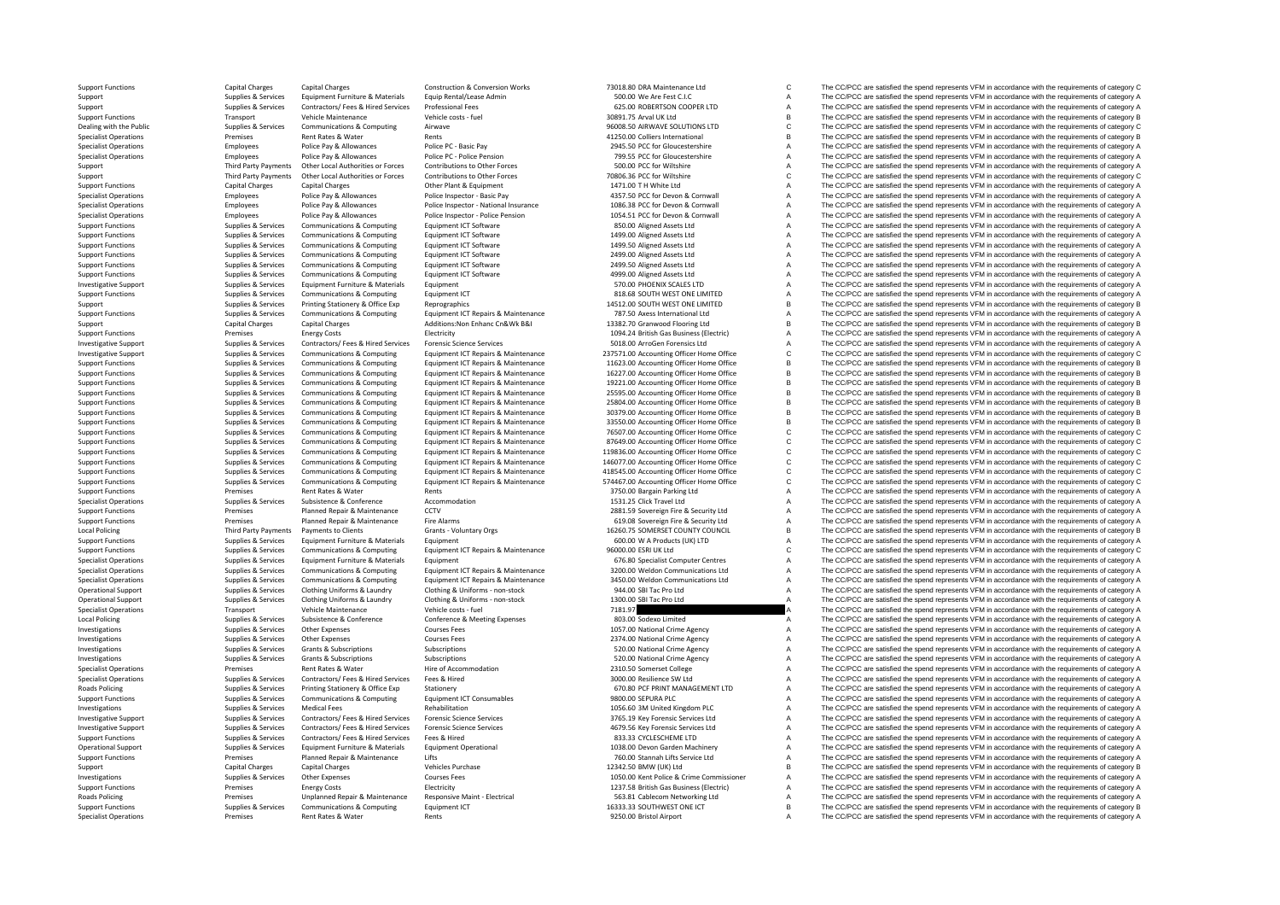**Local Policing Local Policing** Roads Policing **Roads Policing** 

Support Functions Capital Charges Capital Charges Construction & Conversion Works 73018.80 DRA Maintenance Ltd C The CC/PCC are satisfied the spend represents VFM in accordance with the requirements of category C<br>Support S Support Supplies & Services Equipment Furniture & Materials Equip Rental/Lease Admin 500.00 We Are Fest C.I.C C. A The CC/PCC are satisfied the spend represents VFM in accordance with the requirements of category A Support Support Supplies & Services Contractors/ Fees & Hired Services Professional Fees 625.00 ROBERTSON COOPER LTD A The CC/PCC are satisfied the spend represents VFM in accordance with the requirements of category A Support Functions Transport Vehicle Maintenance Vehicle Costs - fuel 30891.75 Arval UK Ltd 30891.75 Arval UK Ltd B The CC/PCC are satisfied the spend represents VFM in accordance with the requirements of category B Dealing Dealing with the Public Supplies & Supplies & Supplies & Services Communications & Computing Airwave Airwave 96008.50 AIRWAVE SOLUTIONS LTD C The CC/PCC are satisfied the spend represents VFM in accordance with the require Premises Rent Rates & Water Rents Rents Rents Attachment According to the CC/PCC are satisfied the spend represents VFM in accordance with the requirements of category B and the spend represents VFM in accordance with the Specialist Operations Employees Police Pay & Allowances Police Pay 2945.50 Police Pay 2945.50 PCC for Gloucestershire A The CC/PCC are satisfied the spend represents VFM in accordance with the requirements of category A Th Specialist Operations Employees Police Pay & Allowances Police PC ‐ Police Pension 799.55 PCC for Gloucestershire A The CC/PCC are satisfied the spend represents VFM in accordance with the requirements of category A Support Third Party Payments Other Local Authorities or Forces Contributions to Other Forces 500.00 PCC for Wiltshire A The CC/PCC are satisfied the spend represents VFM in accordance with the requirements of category A Th Support Third Party Payments Other Incal Authorities or Forces Contributions to Other Forces 70806.36 PCC for Wiltshire C The CC/PCC are satisfied the spend represents VFM in accordance with the requirements of category C Support Functions Capital Charges Capital Charges Capital Charges Other Plant & Cultument 1471.00 T H White Ltd A The CC/PCC are satisfied the spend represents VFM in accordance with the requirements of category A Specialist Operations Employees Police Pay & Allowances Police Inspector - Basic Pay ASIC 100 2012 106.38 PCC for Devon & Cornwall A The CC/PCC are satisfied the spend represents VFM in accordance with the requirements of Specialist Operations The COPCC are satisfied the spect of the control of the control of the control of the control of the control of the control of the control of the control of the control of the control of the control o Employees Police Pay & Allowances Police Inspector - Police Pension 1054.51 PCC for Devon & Cornwall A The CC/PCC are satisfied the spend represents VFM in accordance with the requirements of category A Support Functions Supplies & Services Communications & Computing Foultment ICT Software 850.00 Aligned Assets Ltd A The CC/PCC are satisfied the spend represents VFM in accordance with the requirements of category A Support Functions Supplies & Services Communications & Computing Equipment ICT Software 1499.00 Aligned Assets Ltd A The CC/PCC are satisfied the spend represents VFM in accordance with the requirements of category A Support Functions Supplies & Services Communications & Computing Equipment ICT Software 1499.50 Aligned Assets Ltd A The CC/PCC are satisfied the spend represents VFM in accordance with the requirements of category A Support Functions Supplies & Services Communications & Computing Equipment ICT Software 2499.00 Aligned Assets Ltd A The CC/PCC are satisfied the spend represents VFM in accordance with the requirements of category A Suppo Support Functions Supplies & Services Communications & Computing Equipment ICT Software 2499.50 Aligned Assets Ltd A The CC/PCC are satisfied the spend represents VFM in accordance with the requirements of category A Support Functions Supplies & Services Communications & Computing Equipment ICT Software 499.00 Aligned Assets Ltd A The CC/PCC are satisfied the spend represents VFM in accordance with the requirements of category A Invest Investigative Support Supplies & Supplies & Services Equipment Furniture & Materials Equipment Equipment Furniture and A Support Support Support Support A The CC/PCC are satisfied the spend represents VFM in accordance wit Support Functions Supplies & Services Communications & Computing Equipment ICT Support Equipment ICT 818.68 SOUTH WEST ONE LIMITED A The CC/PCC are satisfied the spend represents VFM in accordance with the requirements of Support Supplies & Services Printing Stationery & Office Exp Reprographics Reprographics 14512.00 SOUTH WEST ONE LIMITED B The CC/PCC are satisfied the spend represents VFM in accordance with the requirements of category B Support Functions Supplies & Services Communications & Computing Equipment ICT Repairs & Maintenance 787.50 Axess International Ltd A The CC/PCC are satisfied the spend represents VFM in accordance with the requirements of category A Support Capital Charges Capital Charges Additions:Non Enhanc Cn&Wk B&I 13382.70 Granwood Flooring Ltd B The CC/PCC are satisfied the spend represents VFM in accordance with the requirements of category B Support Functions Premises Energy Costs Energy Costs Electricity Electricity Electricity Electricity Electricity Electricity and the spend are satisfied the spend represents VFM in accordance with the requirements of categ Investigative Support Supplies & Services Contractors/ Fees & Hired Services Forensic Science Services 5018.00 ArroGen Forensics Ltd A The CC/PCC are satisfied the spend represents VFM in accordance with the requirements of category A 337571.00 Accounting Officer Home Office CCCC C The CC/PCC are satisfied the spend represents VFM in accordance with the requirements of category C<br>11633.00 Accounting Officer Home Office Results Results and COPCC are sati Support Functions Supplies & Services Communications & Computing Equipment ICT Repairs & Maintenance 11623.00 Accounting Office The CC/PCC are satisfied the spend represents VFM in accordance with the requirements of categ Support Functions Supplies & Services Communications & Computing Equipment ICT Repairs & Maintenance 16227.00 Accounting Officer Home Office B The CC/PCC are satisfied the spend represents VFM in accordance with the requir Support Functions Supplies & Services Communications & Computing Equipment ICT Repairs & Maintenance 19221.00 Accounting Officer Home Office B The CC/PCC are satisfied the spend represents VFM in accordance with the requir 25595.00 Accounting Officer Home Office B<br>25804.00 Accounting Officer Home Office B<br>25804.00 Accounting Officer Home Office B<br>25804.00 Accounting Officer Home Office B<br>35804.00 Accounting Officer Home Office B<br>35804.00 Acc Support Functions Supplies & Services Communications & Computing Equipment ICT Repairs & Maintenance 25804.00 Accounting Office The CC/PCC are satisfied the spend represents VFM in accordance with the requirements of categ Equipment ICT Repairs & Maintenance 30379.00 Accounting Officer Home Office 30379.00 Accounting Officer Home Office B The CC/PCC are satisfied the spend represents VFM in accordance with the requirements of category B Support Functions Supplies & Services Communications & Computing Equipment ICT Repairs & Maintenance 33550.00 Accounting Office The CC/PCC are satisfied the spend represents VFM in accordance with the requirements of categ Supplies & Services Communications & Computing Equipment ICT Repairs & Maintenance 76507.00 Accounting Officer Home Office COMPCC are satisfied the spend represents VFM in accordance with the requirements of category C<br>Sup Support Eunctions Curations Curations Communications & Communications & Communications & Communications & Communications & Communications & Communications & Communications & Communications Communications Communications Com Support Functions Supplies & Services Communications & Computing Equipment ICT Repairs & Maintenance 19836.00 Accounting Officer Home Office CC/PCC are satisfied the spend represents VFM in accordance with the requirements Support Functions Supporters Supporters Communications & Computing Equipment ICT Repairs & Maintenance 146077.00 Accounting Officer Home Office CC/PCC are satisfied the spend represents VFM in accordance with the requireme Supplier & Services Communications & Compution Communications Communications Communications Communications Communications Equipment ICT Repairs & Maintenance 418545.00 Accounting Officer Home Officer Home Officer C. The CC Supplies & Services Communications & Computing Equipment ICT Repairs & Maintenance 574467.00 Accounting Office office CC/PCC are satisfied the spend represents VFM in accordance with the requirements of category C<br>Premises Support Functions Premises Rent Rates & Water Rents 3750.00 Bargain Parking Ltd A The CC/PCC are satisfied the spend represents VFM in accordance with the requirements of category A Supplies & Supplies & Subsistence & Conference Accommodation 1531.25 Click Travel Ltd A The CC/PCC are satisfied the spend represents VFM in accordance with the requirements of category A Support Functions Premises Planned Repair & Maintenance CCTV 2881.59 Sovereign Fire & Security Ltd A The CC/PCC are satisfied the spend represents VFM in accordance with the requirements of category A Support Fire Alam in Support Functions Premises Planned Repair Functions Premises Planned Repair & Maintenance Fire COVICC are satisfied the spend represents VFM in accordance with the requirements of category A The CC/PCC are satisfied the sp Third Party Payments Payments to Clients of category B Grants - Voluntary Orgs 16260.75 SOMERSET COUNTY COUNCIL B The CC/PCC are satisfied the spend represents VFM in accordance with the requirements of category B<br>Supplies Support Functions Supplies & Services Equipment Furniture & Materials Equipment Equipment Companications and Equipment and Support Functions and the CC/PCC are satisfied the spend represents VFM in accordance with the requ C The CC/PCC are satisfied the spend represents VFM in accordance with the requirements of category C Specialist Operations Supplies & Services Equipment Furniture & Materials Equipment Equipment Criterals Equipment Criterations Supplies A The CC/PCC are satisfied the spend represents VFM in accordance with the requirement Equipment ICT Repairs & Maintenance 3200.00 Weldon Communications Ltd A The CC/PCC are satisfied the spend represents VFM in accordance with the requirements of category A<br>Equipment ICT Repairs & Maintenance 3450.00 Weldon Supplies & Services Communications & Computing Equipment ICT Repairs & Maintenance 3450.00 Weldon Communications Ltd A The CC/PCC are satisfied the spend represents VFM in accordance with the requirements of category A Operational Support Supplies & Services Clothing Uniforms & Laundry Clothing & Uniforms - non-stock 944.00 SBI Tac Pro Ltd A The CC/PCC are satisfied the spend represents VFM in accordance with the requirements of category Operational Support Support Supporter Supporters Supporters and Cotting Mind Cotting & Uniforms - non-stock 1300.00 SBI Tac Pro Ltd A The CC/PCC are satisfied the spend represents VFM in accordance with the requirements of Specialist Operations Transport Vehicle Maintenance Vehicle costs – fuel Tues of Vehicle Costs – fuel 7181.97 a The CC/PCC are satisfied the spend represents VFM in accordance with the requirements of category A The CC/PCC Poplies & Services Subsistence & Conference & Meeting Expenses 803.00 Sodexo Limited A The CC/PCC are satisfied the spend represents VFM in accordance with the requirements of category A Supplies & Services 900 Sodexo Limi Investigations Supplies & Services Other Expenses Courses Fees Courses Fees 1057.00 National Crime Agency A The CC/PCC are satisfied the spend represents VFM in accordance with the requirements of category A Investigations Supplies Aservices Other Expenses Courses Fees Courses Courses Courses Fees 2374.00 National Crime Agency A The CC/PCC are satisfied the spend represents VFM in accordance with the requirements of category A Investigations Supplies & Subscriptions Subscriptions Subscriptions Subscriptions Subscriptions Subscriptions Subscriptions Subscriptions Subscriptions Subscriptions Subscriptions Subscriptions Subscriptions Subscriptions A The CC/PCC are satisfied the spend represents VFM in accordance with the requirements of category A Specialist Operations Specialist Operations Premises Premises Rent Rates & Water Hire of Accommodation Hire of Accommodation and a CO/PCC are satisfied the spend represents VFM in accordance with the requirements of catego Specialist Operations Supplies & Supplies & Services Contractors/ Fees & Hired Services Fees & Hired Services Fees & Hired Services Fees & Hired Services Supplies A The CC/PCC are satisfied the spend represents VFM in acco The CC/PCC are satisfied the spend represents VFM in accordance with the requirements of category A Support Functions Supplies & Services Communications & Computing Equipment ICT Consumables Support FUNCT A The CC/PCC are satisfied the spend represents VFM in accordance with the requirements of category A Investigations Investigations Supplies & Supplies & Services Medical Fees Rehabilitation 1056.60 3M United Kingdom PLC A The CC/PCC are satisfied the spend represents VFM in accordance with the requirements of category A Investigative Su The CC/PCC are satisfied the spend represents VFM in accordance with the requirements of category A Example the control of the control of the control of the control of the control of the control of the control of the control of the control of the control of the control of the control of the control of the control of the Support Functions Supplies & Services Contractors/ Fees & Hired Services Fees & Hired Bervices Fees & Hired 833.33 CYCLESCHEME LTD A The CC/PCC are satisfied the spend represents VFM in accordance with the requirements of Operational Support Suppolles & Services Equipment Furniture & Materials Equipment Operational Support 1038.00 Devon Garden Matchinery A The CC/PCC are satisfied the spend represents VFM in accordance with the requirements Support Functions Premises Planned Repair & Maintenance Lifts The COLO Stannah Lifts 760.00 Stannah Lifts Service Ltd A The CC/PCC are satisfied the spend represents VFM in accordance with the requirements of category A Support Capital Charges Capital Charges Vehicles Purchase Vehicles Purchase 12342.50 BMW (UK) Ltd B The CC/PCC are satisfied the spend represents VFM in accordance with the requirements of category B Investigations Supplies & Supplies & Services Other Expenses Courses Fees Courses Fees 1050.00 Kent Police & Crime Commissioner A The CC/PCC are satisfied the spend represents VFM in accordance with the requirements of cat Support Functions Premises Energy Costs Electricity Electricity Electricity 1237.58 British Gas Business (Electricity A The CC/PCC are satisfied the spend represents VFM in accordance with the requirements of category A Premises Unplanned Repair & Maintenance Responsive Maint - Electrical S63.81 Cablecom Networking Ltd A The CC/PCC are satisfied the spend represents VFM in accordance with the requirements of category A Support of the Sect Support Functions Support Support Communications & Computing Faultoment ICT 16333.33 SOUTHWEST ONE ICT R The CC/PCC are satisfied the spend represents VFM in accordance with the requirements of category B Specialist Operations Premises Rent Rates & Water Rents Rents Rents Rents Premises Rent Rates Avater Rents Rents Rents Rents A The CC/PCC are satisfied the spend represents VFM in accordance with the requirements of catego